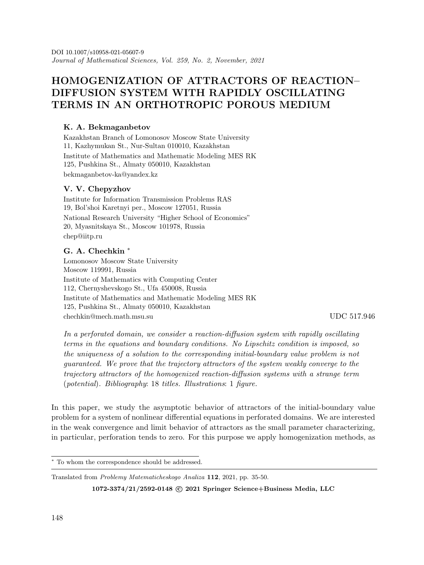# **HOMOGENIZATION OF ATTRACTORS OF REACTION– DIFFUSION SYSTEM WITH RAPIDLY OSCILLATING TERMS IN AN ORTHOTROPIC POROUS MEDIUM**

Kazakhstan Branch of Lomonosov Moscow State University 11, Kazhymukan St., Nur-Sultan 010010, Kazakhstan Institute of Mathematics and Mathematic Modeling MES RK 125, Pushkina St., Almaty 050010, Kazakhstan bekmaganbetov-ka@yandex.kz

Institute for Information Transmission Problems RAS 19, Bol'shoi Karetnyi per., Moscow 127051, Russia National Research University "Higher School of Economics" 20, Myasnitskaya St., Moscow 101978, Russia chep@iitp.ru

#### **G. A. Chechkin** <sup>∗</sup>

Lomonosov Moscow State University Moscow 119991, Russia Institute of Mathematics with Computing Center 112, Chernyshevskogo St., Ufa 450008, Russia Institute of Mathematics and Mathematic Modeling MES RK 125, Pushkina St., Almaty 050010, Kazakhstan chechkin@mech.math.msu.su UDC 517.946

*In a perforated domain, we consider a reaction-diffusion system with rapidly oscillating terms in the equations and boundary conditions. No Lipschitz condition is imposed, so the uniqueness of a solution to the corresponding initial-boundary value problem is not guaranteed. We prove that the trajectory attractors of the system weakly converge to the trajectory attractors of the homogenized reaction-diffusion systems with a strange term* (*potential*)*. Bibliography*: 18 *titles. Illustrations*: 1 *figure.*

In this paper, we study the asymptotic behavior of attractors of the initial-boundary value problem for a system of nonlinear differential equations in perforated domains. We are interested in the weak convergence and limit behavior of attractors as the small parameter characterizing, in particular, perforation tends to zero. For this purpose we apply homogenization methods, as

Translated from *Problemy Matematicheskogo Analiza* **<sup>112</sup>**, 2021, pp. 35-50.

1072-3374/21/2592-0148 © 2021 Springer Science+Business Media, LLC

<sup>∗</sup> To whom the correspondence should be addressed.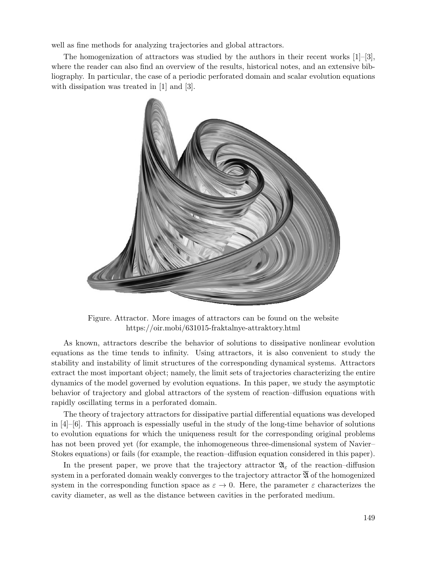well as fine methods for analyzing trajectories and global attractors.

The homogenization of attractors was studied by the authors in their recent works  $[1]-[3]$ , where the reader can also find an overview of the results, historical notes, and an extensive bibliography. In particular, the case of a periodic perforated domain and scalar evolution equations with dissipation was treated in [1] and [3].



Figure. Attractor. More images of attractors can be found on the website https://oir.mobi/631015-fraktalnye-attraktory.html

As known, attractors describe the behavior of solutions to dissipative nonlinear evolution equations as the time tends to infinity. Using attractors, it is also convenient to study the stability and instability of limit structures of the corresponding dynamical systems. Attractors extract the most important object; namely, the limit sets of trajectories characterizing the entire dynamics of the model governed by evolution equations. In this paper, we study the asymptotic behavior of trajectory and global attractors of the system of reaction–diffusion equations with rapidly oscillating terms in a perforated domain.

The theory of trajectory attractors for dissipative partial differential equations was developed in  $[4]-[6]$ . This approach is espessially useful in the study of the long-time behavior of solutions to evolution equations for which the uniqueness result for the corresponding original problems has not been proved yet (for example, the inhomogeneous three-dimensional system of Navier– Stokes equations) or fails (for example, the reaction–diffusion equation considered in this paper).

In the present paper, we prove that the trajectory attractor  $\mathfrak{A}_{\varepsilon}$  of the reaction–diffusion system in a perforated domain weakly converges to the trajectory attractor  $\overline{\mathfrak{A}}$  of the homogenized system in the corresponding function space as  $\varepsilon \to 0$ . Here, the parameter  $\varepsilon$  characterizes the cavity diameter, as well as the distance between cavities in the perforated medium.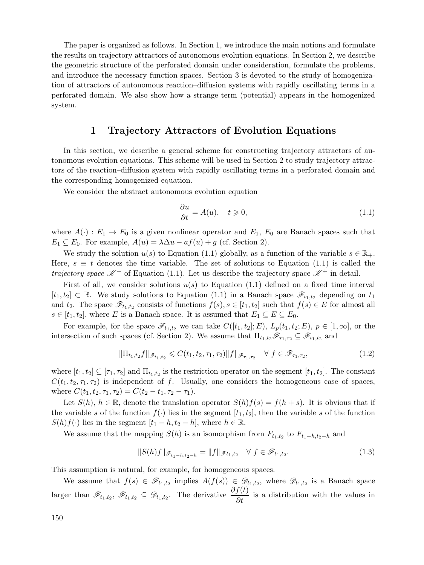The paper is organized as follows. In Section 1, we introduce the main notions and formulate the results on trajectory attractors of autonomous evolution equations. In Section 2, we describe the geometric structure of the perforated domain under consideration, formulate the problems, and introduce the necessary function spaces. Section 3 is devoted to the study of homogenization of attractors of autonomous reaction–diffusion systems with rapidly oscillating terms in a perforated domain. We also show how a strange term (potential) appears in the homogenized system.

### **1 Trajectory Attractors of Evolution Equations**

In this section, we describe a general scheme for constructing trajectory attractors of autonomous evolution equations. This scheme will be used in Section 2 to study trajectory attractors of the reaction–diffusion system with rapidly oscillating terms in a perforated domain and the corresponding homogenized equation.

We consider the abstract autonomous evolution equation

$$
\frac{\partial u}{\partial t} = A(u), \quad t \ge 0,
$$
\n(1.1)

where  $A(\cdot): E_1 \to E_0$  is a given nonlinear operator and  $E_1, E_0$  are Banach spaces such that  $E_1 \subseteq E_0$ . For example,  $A(u) = \lambda \Delta u - af(u) + g$  (cf. Section 2).

We study the solution  $u(s)$  to Equation (1.1) globally, as a function of the variable  $s \in \mathbb{R}_+$ . Here,  $s \equiv t$  denotes the time variable. The set of solutions to Equation (1.1) is called the *trajectory space*  $K^+$  of Equation (1.1). Let us describe the trajectory space  $K^+$  in detail.

First of all, we consider solutions  $u(s)$  to Equation (1.1) defined on a fixed time interval  $[t_1, t_2] \subset \mathbb{R}$ . We study solutions to Equation (1.1) in a Banach space  $\mathscr{F}_{t_1,t_2}$  depending on  $t_1$ and  $t_2$ . The space  $\mathscr{F}_{t_1,t_2}$  consists of functions  $f(s), s \in [t_1, t_2]$  such that  $f(s) \in E$  for almost all  $s \in [t_1, t_2]$ , where E is a Banach space. It is assumed that  $E_1 \subseteq E \subseteq E_0$ .

For example, for the space  $\mathscr{F}_{t_1,t_2}$  we can take  $C([t_1,t_2];E)$ ,  $L_p(t_1,t_2;E)$ ,  $p \in [1,\infty]$ , or the intersection of such spaces (cf. Section 2). We assume that  $\Pi_{t_1,t_2}\mathscr{F}_{\tau_1,\tau_2} \subseteq \mathscr{F}_{t_1,t_2}$  and

$$
\|\Pi_{t_1,t_2}f\|_{\mathscr{F}_{t_1,t_2}} \leqslant C(t_1,t_2,\tau_1,\tau_2)\|f\|_{\mathscr{F}_{\tau_1,\tau_2}} \quad \forall \ f \in \mathscr{F}_{\tau_1,\tau_2},\tag{1.2}
$$

where  $[t_1, t_2] \subseteq [\tau_1, \tau_2]$  and  $\Pi_{t_1, t_2}$  is the restriction operator on the segment  $[t_1, t_2]$ . The constant  $C(t_1, t_2, \tau_1, \tau_2)$  is independent of f. Usually, one considers the homogeneous case of spaces, where  $C(t_1, t_2, \tau_1, \tau_2) = C(t_2 - t_1, \tau_2 - \tau_1).$ 

Let  $S(h)$ ,  $h \in \mathbb{R}$ , denote the translation operator  $S(h)f(s) = f(h+s)$ . It is obvious that if the variable s of the function  $f(\cdot)$  lies in the segment  $[t_1, t_2]$ , then the variable s of the function  $S(h)f(\cdot)$  lies in the segment  $[t_1-h, t_2-h]$ , where  $h \in \mathbb{R}$ .

We assume that the mapping  $S(h)$  is an isomorphism from  $F_{t_1,t_2}$  to  $F_{t_1-h,t_2-h}$  and

$$
||S(h)f||_{\mathscr{F}_{t_1-h,t_2-h}} = ||f||_{\mathscr{F}_{t_1,t_2}} \quad \forall \ f \in \mathscr{F}_{t_1,t_2}.
$$
 (1.3)

This assumption is natural, for example, for homogeneous spaces.

We assume that  $f(s) \in \mathscr{F}_{t_1,t_2}$  implies  $A(f(s)) \in \mathscr{D}_{t_1,t_2}$ , where  $\mathscr{D}_{t_1,t_2}$  is a Banach space larger than  $\mathscr{F}_{t_1,t_2}$ ,  $\mathscr{F}_{t_1,t_2} \subseteq \mathscr{D}_{t_1,t_2}$ . The derivative  $\frac{\partial f(t)}{\partial t}$  is a distribution with the values in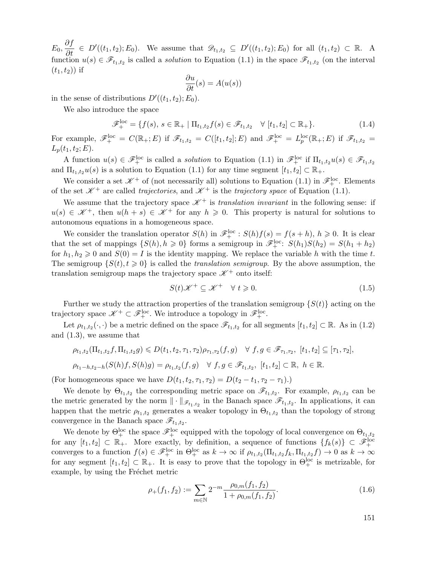$E_0, \frac{\partial f}{\partial t} \in D'((t_1, t_2); E_0)$ . We assume that  $\mathscr{D}_{t_1, t_2} \subseteq D'((t_1, t_2); E_0)$  for all  $(t_1, t_2) \subset \mathbb{R}$ . A function  $u(s) \in \mathscr{F}_{t_1,t_2}$  is called a *solution* to Equation (1.1) in the space  $\mathscr{F}_{t_1,t_2}$  (on the interval  $(t_1, t_2)$  if

$$
\frac{\partial u}{\partial t}(s) = A(u(s))
$$

in the sense of distributions  $D'((t_1, t_2); E_0)$ .

We also introduce the space

$$
\mathscr{F}_{+}^{\text{loc}} = \{ f(s), s \in \mathbb{R}_{+} \mid \Pi_{t_{1}, t_{2}} f(s) \in \mathscr{F}_{t_{1}, t_{2}} \quad \forall [t_{1}, t_{2}] \subset \mathbb{R}_{+} \}. \tag{1.4}
$$

For example,  $\mathscr{F}_+^{\text{loc}} = C(\mathbb{R}_+; E)$  if  $\mathscr{F}_{t_1,t_2} = C([t_1,t_2]; E)$  and  $\mathscr{F}_+^{\text{loc}} = L_p^{\text{loc}}(\mathbb{R}_+; E)$  if  $\mathscr{F}_{t_1,t_2} =$  $L_p(t_1, t_2; E).$ 

A function  $u(s) \in \mathscr{F}_+^{\text{loc}}$  is called a *solution* to Equation (1.1) in  $\mathscr{F}_+^{\text{loc}}$  if  $\Pi_{t_1,t_2}u(s) \in \mathscr{F}_{t_1,t_2}$ and  $\Pi_{t_1,t_2} u(s)$  is a solution to Equation (1.1) for any time segment  $[t_1,t_2] \subset \mathbb{R}_+$ .

We consider a set  $\mathscr{K}^+$  of (not necessarily all) solutions to Equation (1.1) in  $\mathscr{F}_+^{\text{loc}}$ . Elements of the set  $\mathcal{K}^+$  are called *trajectories*, and  $\mathcal{K}^+$  is the *trajectory space* of Equation (1.1).

We assume that the trajectory space  $\mathcal{K}^+$  is *translation invariant* in the following sense: if  $u(s) \in \mathcal{K}^+$ , then  $u(h+s) \in \mathcal{K}^+$  for any  $h \geqslant 0$ . This property is natural for solutions to autonomous equations in a homogeneous space.

We consider the translation operator  $S(h)$  in  $\mathscr{F}_{+}^{\text{loc}}$ :  $S(h)f(s) = f(s+h), h \geq 0$ . It is clear that the set of mappings  $\{S(h), h \geq 0\}$  forms a semigroup in  $\mathscr{F}_+^{\text{loc}}$ :  $S(h_1)S(h_2) = S(h_1 + h_2)$ for  $h_1, h_2 \geq 0$  and  $S(0) = I$  is the identity mapping. We replace the variable h with the time t. The semigroup  $\{S(t), t \geq 0\}$  is called the *translation semigroup*. By the above assumption, the translation semigroup maps the trajectory space  $\mathcal{K}^+$  onto itself:

$$
S(t)\mathscr{K}^+\subseteq \mathscr{K}^+\quad\forall\ t\geqslant 0. \tag{1.5}
$$

Further we study the attraction properties of the translation semigroup  $\{S(t)\}\$  acting on the trajectory space  $\mathscr{K}^+ \subset \mathscr{F}_+^{\text{loc}}$ . We introduce a topology in  $\mathscr{F}_+^{\text{loc}}$ .

Let  $\rho_{t_1,t_2}(\cdot,\cdot)$  be a metric defined on the space  $\mathscr{F}_{t_1,t_2}$  for all segments  $[t_1,t_2] \subset \mathbb{R}$ . As in (1.2) and (1.3), we assume that

$$
\rho_{t_1,t_2}(\Pi_{t_1,t_2}f,\Pi_{t_1,t_2}g) \leq D(t_1,t_2,\tau_1,\tau_2)\rho_{\tau_1,\tau_2}(f,g) \quad \forall \ f,g \in \mathscr{F}_{\tau_1,\tau_2}, \ [t_1,t_2] \subseteq [\tau_1,\tau_2],
$$
  

$$
\rho_{t_1-h,t_2-h}(S(h)f,S(h)g) = \rho_{t_1,t_2}(f,g) \quad \forall \ f,g \in \mathscr{F}_{t_1,t_2}, \ [t_1,t_2] \subset \mathbb{R}, \ h \in \mathbb{R}.
$$

(For homogeneous space we have  $D(t_1, t_2, \tau_1, \tau_2) = D(t_2 - t_1, \tau_2 - \tau_1)$ .)

We denote by  $\Theta_{t_1,t_2}$  the corresponding metric space on  $\mathscr{F}_{t_1,t_2}$ . For example,  $\rho_{t_1,t_2}$  can be the metric generated by the norm  $\|\cdot\|_{\mathscr{F}_{t_1,t_2}}$  in the Banach space  $\mathscr{F}_{t_1,t_2}$ . In applications, it can happen that the metric  $\rho_{t_1,t_2}$  generates a weaker topology in  $\Theta_{t_1,t_2}$  than the topology of strong convergence in the Banach space  $\mathscr{F}_{t_1,t_2}$ .

We denote by  $\Theta_+^{\text{loc}}$  the space  $\mathscr{F}_+^{\text{loc}}$  equipped with the topology of local convergence on  $\Theta_{t_1,t_2}$ for any  $[t_1, t_2] \subset \mathbb{R}_+$ . More exactly, by definition, a sequence of functions  $\{f_k(s)\} \subset \mathscr{F}_+^{\text{loc}}$ converges to a function  $f(s) \in \mathscr{F}_+^{\text{loc}}$  in  $\Theta_+^{\text{loc}}$  as  $k \to \infty$  if  $\rho_{t_1,t_2}(\Pi_{t_1,t_2}f_k, \Pi_{t_1,t_2}f) \to 0$  as  $k \to \infty$ for any segment  $[t_1, t_2] \subset \mathbb{R}_+$ . It is easy to prove that the topology in  $\Theta_+^{\text{loc}}$  is metrizable, for example, by using the Fréchet metric

$$
\rho_{+}(f_1, f_2) := \sum_{m \in \mathbb{N}} 2^{-m} \frac{\rho_{0,m}(f_1, f_2)}{1 + \rho_{0,m}(f_1, f_2)}.
$$
\n(1.6)

151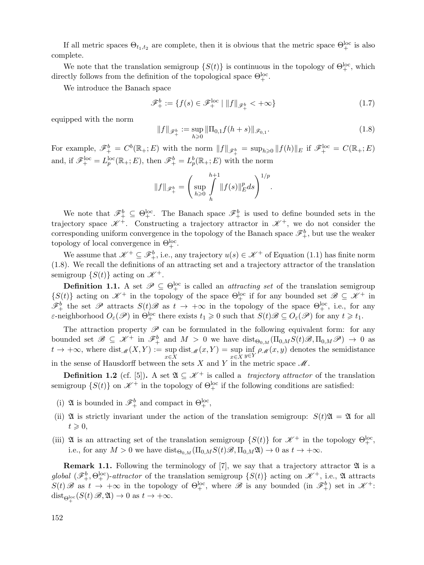If all metric spaces  $\Theta_{t_1,t_2}$  are complete, then it is obvious that the metric space  $\Theta_{+}^{\text{loc}}$  is also complete.

We note that the translation semigroup  $\{S(t)\}\$ is continuous in the topology of  $\Theta_{+}^{\text{loc}}$ , which directly follows from the definition of the topological space  $\Theta_+^{\text{loc}}$ .

We introduce the Banach space

$$
\mathscr{F}_{+}^{b} := \{ f(s) \in \mathscr{F}_{+}^{\text{loc}} \mid \| f \|_{\mathscr{F}_{+}^{b}} < +\infty \} \tag{1.7}
$$

equipped with the norm

$$
||f||_{\mathscr{F}_{+}^{b}} := \sup_{h \geq 0} ||\Pi_{0,1} f(h+s)||_{\mathscr{F}_{0,1}}.
$$
\n(1.8)

For example,  $\mathscr{F}_{+}^{b} = C^{b}(\mathbb{R}_{+}; E)$  with the norm  $||f||_{\mathscr{F}_{+}^{b}} = \sup_{h\geqslant 0} ||f(h)||_{E}$  if  $\mathscr{F}_{+}^{\text{loc}} = C(\mathbb{R}_{+}; E)$ and, if  $\mathscr{F}_+^{\text{loc}} = L_p^{\text{loc}}(\mathbb{R}_+; E)$ , then  $\mathscr{F}_+^b = L_p^b(\mathbb{R}_+; E)$  with the norm

$$
\|f\|_{\mathscr{F}^b_+}=\Bigg(\sup_{h\geqslant 0}\int\limits^{h+1}_h\|f(s)\|_E^pds\Bigg)^{1/p}.
$$

We note that  $\mathscr{F}_{+}^{b} \subseteq \Theta_{+}^{\text{loc}}$ . The Banach space  $\mathscr{F}_{+}^{b}$  is used to define bounded sets in the trajectory space  $\mathscr{K}^+$ . Constructing a trajectory attractor in  $\mathscr{K}^+$ , we do not consider the corresponding uniform convergence in the topology of the Banach space  $\mathscr{F}^b_+$ , but use the weaker topology of local convergence in  $\Theta^{\text{loc}}_+$ .

We assume that  $\mathscr{K}^+ \subseteq \mathscr{F}^b_+$ , i.e., any trajectory  $u(s) \in \mathscr{K}^+$  of Equation (1.1) has finite norm (1.8). We recall the definitions of an attracting set and a trajectory attractor of the translation semigroup  $\{S(t)\}\$ acting on  $\mathscr{K}^+$ .

**Definition 1.1.** A set  $\mathcal{P} \subseteq \Theta_{+}^{\text{loc}}$  is called an *attracting set* of the translation semigroup  $\{S(t)\}\$ acting on  $\mathscr{K}^+$  in the topology of the space  $\Theta^{\text{loc}}_+$  if for any bounded set  $\mathscr{B} \subseteq \mathscr{K}^+$  in  $\mathscr{F}^b_+$  the set  $\mathscr{P}$  attracts  $S(t)\mathscr{B}$  as  $t \to +\infty$  in the topology of the space  $\Theta^{loc}_+$ , i.e., for any  $\varepsilon$ -neighborhood  $O_{\varepsilon}(\mathscr{P})$  in  $\Theta_{+}^{\text{loc}}$  there exists  $t_1 \geq 0$  such that  $S(t)\mathscr{B} \subseteq O_{\varepsilon}(\mathscr{P})$  for any  $t \geq t_1$ .

The attraction property  $\mathscr P$  can be formulated in the following equivalent form: for any bounded set  $\mathscr{B} \subseteq \mathscr{K}^+$  in  $\mathscr{F}^b_+$  and  $M > 0$  we have  $dist_{\Theta_{0,M}}(\Pi_{0,M}S(t)\mathscr{B},\Pi_{0,M}\mathscr{P}) \to 0$  as  $t \to +\infty$ , where dist<sub>*M*</sub>(*X*, *Y*) := sup dist<sub>*M*</sub>(*x*, *Y*) = sup inf  $\rho_M(x, y)$  denotes the semidistance in the sense of Hausdorff between the sets  $X$  and  $Y$  in the metric space  $\mathscr{M}$ .

**Definition 1.2** (cf. [5]). A set  $\mathfrak{A} \subseteq \mathcal{K}^+$  is called a *trajectory attractor* of the translation semigroup  $\{S(t)\}\$  on  $\mathscr{K}^+$  in the topology of  $\Theta_{+}^{\text{loc}}$  if the following conditions are satisfied:

- (i)  $\mathfrak{A}$  is bounded in  $\mathscr{F}^b_+$  and compact in  $\Theta^{loc}_+$ ,
- (ii) A is strictly invariant under the action of the translation semigroup:  $S(t)\mathfrak{A} = \mathfrak{A}$  for all  $t \geqslant 0,$
- (iii)  $\mathfrak{A}$  is an attracting set of the translation semigroup  $\{S(t)\}\$ for  $\mathcal{K}^+$  in the topology  $\Theta_+^{\text{loc}},$ i.e., for any  $M > 0$  we have  $dist_{\Theta_{0,M}}(\Pi_{0,M}S(t)\mathscr{B},\Pi_{0,M}\mathfrak{A}) \to 0$  as  $t \to +\infty$ .

**Remark 1.1.** Following the terminology of  $[7]$ , we say that a trajectory attractor  $\mathfrak{A}$  is a *global*  $(\mathscr{F}_{+}^{b}, \Theta_{+}^{\text{loc}})$ -*attractor* of the translation semigroup  $\{S(t)\}\$ acting on  $\mathscr{K}^{+}$ , i.e.,  $\mathfrak{A}$  attracts  $S(t)\mathscr{B}$  as  $t \to +\infty$  in the topology of  $\Theta^{loc}_+$ , where  $\mathscr{B}$  is any bounded (in  $\mathscr{F}^b_+$ ) set in  $\mathscr{K}^+$ :  $dist_{\Theta_{+}^{\text{loc}}}(S(t)\mathscr{B}, \mathfrak{A}) \to 0 \text{ as } t \to +\infty.$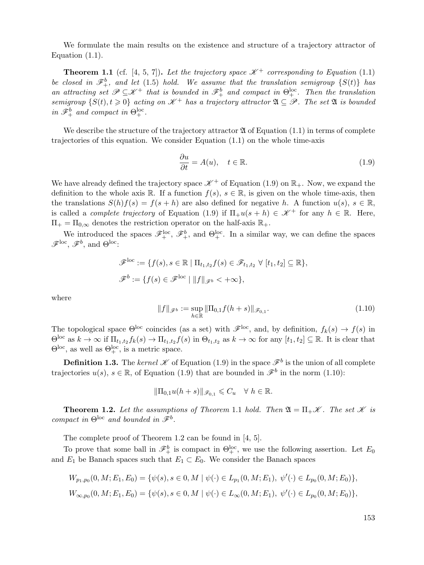We formulate the main results on the existence and structure of a trajectory attractor of Equation  $(1.1)$ .

**Theorem 1.1** (cf. [4, 5, 7]). Let the trajectory space  $\mathcal{K}^+$  corresponding to Equation (1.1) *be closed in*  $\mathscr{F}^b_+$ , and let (1.5) *hold.* We assume that the translation semigroup  $\{S(t)\}\$  has *an attracting set*  $\mathscr{P} \subseteq \mathscr{K}^+$  *that is bounded in*  $\mathscr{F}^b_+$  *and compact in*  $\Theta^{loc}_+$ *. Then the translation*  $semigroup \{S(t), t \geq 0\}$  acting on  $\mathcal{K}^+$  has a trajectory attractor  $\mathfrak{A} \subseteq \mathcal{P}$ . The set  $\mathfrak{A}$  is bounded *in*  $\mathscr{F}_{+}^{b}$  *and compact in*  $\Theta_{+}^{\text{loc}}$ *.* 

We describe the structure of the trajectory attractor  $\mathfrak A$  of Equation (1.1) in terms of complete trajectories of this equation. We consider Equation (1.1) on the whole time-axis

$$
\frac{\partial u}{\partial t} = A(u), \quad t \in \mathbb{R}.\tag{1.9}
$$

We have already defined the trajectory space  $\mathscr{K}^+$  of Equation (1.9) on  $\mathbb{R}_+$ . Now, we expand the definition to the whole axis R. If a function  $f(s), s \in \mathbb{R}$ , is given on the whole time-axis, then the translations  $S(h)f(s) = f(s+h)$  are also defined for negative h. A function  $u(s), s \in \mathbb{R}$ , is called a *complete trajectory* of Equation (1.9) if  $\Pi_+u(s+h) \in \mathcal{K}^+$  for any  $h \in \mathbb{R}$ . Here,  $\Pi_+ = \Pi_{0,\infty}$  denotes the restriction operator on the half-axis  $\mathbb{R}_+$ .

We introduced the spaces  $\mathscr{F}_+^{\text{loc}}, \mathscr{F}_+^b$ , and  $\Theta_+^{\text{loc}}$ . In a similar way, we can define the spaces  $\mathscr{F}^{\text{loc}}$ ,  $\mathscr{F}^b$ , and  $\Theta^{\text{loc}}$ :

$$
\mathscr{F}^{\text{loc}} := \{ f(s), s \in \mathbb{R} \mid \Pi_{t_1, t_2} f(s) \in \mathscr{F}_{t_1, t_2} \ \forall \ [t_1, t_2] \subseteq \mathbb{R} \},
$$
  

$$
\mathscr{F}^b := \{ f(s) \in \mathscr{F}^{\text{loc}} \mid ||f||_{\mathscr{F}^b} < +\infty \},
$$

where

$$
||f||_{\mathscr{F}^b} := \sup_{h \in \mathbb{R}} ||\Pi_{0,1} f(h+s)||_{\mathscr{F}_{0,1}}.
$$
\n(1.10)

The topological space  $\Theta^{\text{loc}}$  coincides (as a set) with  $\mathscr{F}^{\text{loc}}$ , and, by definition,  $f_k(s) \to f(s)$  in  $\Theta^{\text{loc}}$  as  $k \to \infty$  if  $\Pi_{t_1,t_2} f_k(s) \to \Pi_{t_1,t_2} f(s)$  in  $\Theta_{t_1,t_2}$  as  $k \to \infty$  for any  $[t_1,t_2] \subseteq \mathbb{R}$ . It is clear that  $\Theta^{\rm loc}$ , as well as  $\Theta^{\rm loc}_+$ , is a metric space.

**Definition 1.3.** The *kernel*  $K$  of Equation (1.9) in the space  $\mathscr{F}^b$  is the union of all complete trajectories  $u(s)$ ,  $s \in \mathbb{R}$ , of Equation (1.9) that are bounded in  $\mathscr{F}^b$  in the norm (1.10):

$$
\|\Pi_{0,1}u(h+s)\|_{\mathscr{F}_{0,1}}\leqslant C_u\quad\forall\;h\in\mathbb{R}.
$$

**Theorem 1.2.** Let the assumptions of Theorem 1.1 hold. Then  $\mathfrak{A} = \Pi_+ \mathscr{K}$ . The set  $\mathscr{K}$  is *compact in*  $\Theta^{\text{loc}}$  *and bounded in*  $\tilde{\mathscr{F}}^b$ *.* 

The complete proof of Theorem 1.2 can be found in [4, 5].

To prove that some ball in  $\mathscr{F}^b_+$  is compact in  $\Theta^{loc}_+$ , we use the following assertion. Let  $E_0$ and  $E_1$  be Banach spaces such that  $E_1 \subset E_0$ . We consider the Banach spaces

$$
W_{p_1,p_0}(0,M;E_1,E_0) = \{ \psi(s), s \in 0, M \mid \psi(\cdot) \in L_{p_1}(0,M;E_1), \ \psi'(\cdot) \in L_{p_0}(0,M;E_0) \},
$$
  

$$
W_{\infty,p_0}(0,M;E_1,E_0) = \{ \psi(s), s \in 0, M \mid \psi(\cdot) \in L_{\infty}(0,M;E_1), \ \psi'(\cdot) \in L_{p_0}(0,M;E_0) \},
$$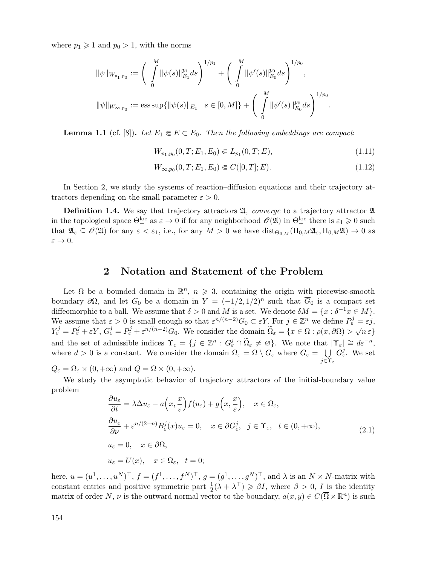where  $p_1 \geqslant 1$  and  $p_0 > 1$ , with the norms

$$
\|\psi\|_{W_{p_1,p_0}} := \left(\int\limits_0^M \|\psi(s)\|_{E_1}^{p_1} ds\right)^{1/p_1} + \left(\int\limits_0^M \|\psi'(s)\|_{E_0}^{p_0} ds\right)^{1/p_0},
$$
  

$$
\|\psi\|_{W_{\infty,p_0}} := \text{ess}\sup\{\|\psi(s)\|_{E_1} \mid s \in [0,M]\} + \left(\int\limits_0^M \|\psi'(s)\|_{E_0}^{p_0} ds\right)^{1/p_0}.
$$

**Lemma 1.1** (cf. [8]). Let  $E_1 \n\t\in E \subset E_0$ . Then the following embeddings are compact:

$$
W_{p_1,p_0}(0,T;E_1,E_0) \in L_{p_1}(0,T;E),\tag{1.11}
$$

$$
W_{\infty, p_0}(0, T; E_1, E_0) \in C([0, T]; E). \tag{1.12}
$$

In Section 2, we study the systems of reaction–diffusion equations and their trajectory attractors depending on the small parameter  $\varepsilon > 0$ .

**Definition 1.4.** We say that trajectory attractors  $\mathfrak{A}_{\varepsilon}$  *converge* to a trajectory attractor  $\mathfrak{A}$ in the topological space  $\Theta^{\text{loc}}_+$  as  $\varepsilon \to 0$  if for any neighborhood  $\mathscr{O}(2\mathfrak{l})$  in  $\Theta^{\text{loc}}_+$  there is  $\varepsilon_1 \geqslant 0$  such that  $\mathfrak{A}_{\varepsilon} \subseteq \mathscr{O}(\overline{\mathfrak{A}})$  for any  $\varepsilon < \varepsilon_1$ , i.e., for any  $M > 0$  we have  $\mathrm{dist}_{\Theta_{0,M}}(\Pi_{0,M}\mathfrak{A}_{\varepsilon},\Pi_{0,M}\overline{\mathfrak{A}}) \to 0$  as  $\varepsilon \to 0$ .

#### **2 Notation and Statement of the Problem**

Let  $\Omega$  be a bounded domain in  $\mathbb{R}^n$ ,  $n \geq 3$ , containing the origin with piecewise-smooth boundary  $\partial\Omega$ , and let  $G_0$  be a domain in  $Y = (-1/2, 1/2)^n$  such that  $\overline{G}_0$  is a compact set diffeomorphic to a ball. We assume that  $\delta > 0$  and M is a set. We denote  $\delta M = \{x : \delta^{-1}x \in M\}.$ We assume that  $\varepsilon > 0$  is small enough so that  $\varepsilon^{n/(n-2)}G_0 \subset \varepsilon Y$ . For  $j \in \mathbb{Z}^n$  we define  $P_{\varepsilon}^j = \varepsilon j$ ,  $Y_{\varepsilon}^{j} = P_{\varepsilon}^{j} + \varepsilon Y, G_{\varepsilon}^{j} = P_{\varepsilon}^{j} + \varepsilon^{n/(n-2)} G_{0}.$  We consider the domain  $\widetilde{\Omega}_{\varepsilon} = \{x \in \Omega : \rho(x, \partial \Omega) > \sqrt{n} \varepsilon\}$ and the set of admissible indices  $\Upsilon_{\varepsilon} = \{j \in \mathbb{Z}^n : G_{\varepsilon}^j \cap \widetilde{\Omega}_{\varepsilon} \neq \varnothing\}$ . We note that  $|\Upsilon_{\varepsilon}| \cong d\varepsilon^{-n}$ , where  $d > 0$  is a constant. We consider the domain  $\Omega_{\varepsilon} = \Omega \setminus G_{\varepsilon}$  where  $G_{\varepsilon} = \bigcup_{\varepsilon \in \mathbb{R}^n} \Omega_{\varepsilon}$  $j$ ∈Υε  $G_{\varepsilon}^{j}$ . We set

 $Q_{\varepsilon} = \Omega_{\varepsilon} \times (0, +\infty)$  and  $Q = \Omega \times (0, +\infty)$ .

We study the asymptotic behavior of trajectory attractors of the initial-boundary value problem

$$
\frac{\partial u_{\varepsilon}}{\partial t} = \lambda \Delta u_{\varepsilon} - a\left(x, \frac{x}{\varepsilon}\right) f(u_{\varepsilon}) + g\left(x, \frac{x}{\varepsilon}\right), \quad x \in \Omega_{\varepsilon},
$$
\n
$$
\frac{\partial u_{\varepsilon}}{\partial \nu} + \varepsilon^{n/(2-n)} B_{\varepsilon}^{j}(x) u_{\varepsilon} = 0, \quad x \in \partial G_{\varepsilon}^{j}, \quad j \in \Upsilon_{\varepsilon}, \quad t \in (0, +\infty),
$$
\n
$$
u_{\varepsilon} = 0, \quad x \in \partial \Omega,
$$
\n
$$
u_{\varepsilon} = U(x), \quad x \in \Omega_{\varepsilon}, \quad t = 0;
$$
\n(2.1)

here,  $u = (u^1, \ldots, u^N)^\top$ ,  $f = (f^1, \ldots, f^N)^\top$ ,  $g = (g^1, \ldots, g^N)^\top$ , and  $\lambda$  is an  $N \times N$ -matrix with constant entries and positive symmetric part  $\frac{1}{2}(\lambda + \lambda^{\top}) \geq \beta I$ , where  $\beta > 0$ ,  $I$  is the identity matrix of order N,  $\nu$  is the outward normal vector to the boundary,  $a(x, y) \in C(\overline{\Omega} \times \mathbb{R}^n)$  is such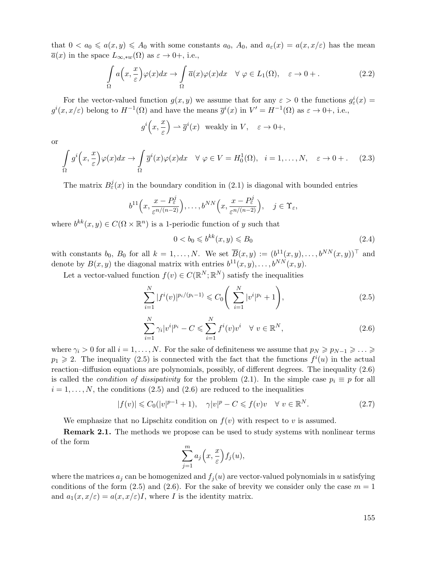that  $0 < a_0 \leq a(x, y) \leq A_0$  with some constants  $a_0$ ,  $A_0$ , and  $a_\varepsilon(x) = a(x, x/\varepsilon)$  has the mean  $\overline{a}(x)$  in the space  $L_{\infty, *w}(\Omega)$  as  $\varepsilon \to 0+$ , i.e.,

$$
\int_{\Omega} a\left(x, \frac{x}{\varepsilon}\right) \varphi(x) dx \to \int_{\Omega} \overline{a}(x) \varphi(x) dx \quad \forall \varphi \in L_1(\Omega), \quad \varepsilon \to 0+.
$$
\n(2.2)

For the vector-valued function  $g(x, y)$  we assume that for any  $\varepsilon > 0$  the functions  $g_{\varepsilon}^i(x) =$  $g^{i}(x, x/\varepsilon)$  belong to  $H^{-1}(\Omega)$  and have the means  $\overline{g}^{i}(x)$  in  $V' = H^{-1}(\Omega)$  as  $\varepsilon \to 0+$ , i.e.,

$$
g^i\Big(x,\frac{x}{\varepsilon}\Big) \rightharpoonup \overline{g}^i(x) \quad \text{weakly in } V, \quad \varepsilon \to 0+,
$$

or

$$
\int_{\Omega} g^i\left(x, \frac{x}{\varepsilon}\right) \varphi(x) dx \to \int_{\Omega} \overline{g}^i(x) \varphi(x) dx \quad \forall \varphi \in V = H_0^1(\Omega), \quad i = 1, \dots, N, \quad \varepsilon \to 0+. \tag{2.3}
$$

The matrix  $B_{\varepsilon}^{j}(x)$  in the boundary condition in (2.1) is diagonal with bounded entries

$$
b^{11}\Big(x,\frac{x-P_{\varepsilon}^j}{\varepsilon^{n/(n-2)}}\Big),\ldots,b^{NN}\Big(x,\frac{x-P_{\varepsilon}^j}{\varepsilon^{n/(n-2)}}\Big),\quad j\in\Upsilon_{\varepsilon},
$$

where  $b^{kk}(x, y) \in C(\Omega \times \mathbb{R}^n)$  is a 1-periodic function of y such that

$$
0 < b_0 \leqslant b^{kk}(x, y) \leqslant B_0 \tag{2.4}
$$

with constants  $b_0$ ,  $B_0$  for all  $k = 1, \ldots, N$ . We set  $\overline{B}(x, y) := (b^{11}(x, y), \ldots, b^{NN}(x, y))^\top$  and denote by  $B(x, y)$  the diagonal matrix with entries  $b^{11}(x, y), \ldots, b^{NN}(x, y)$ .

Let a vector-valued function  $f(v) \in C(\mathbb{R}^N;\mathbb{R}^N)$  satisfy the inequalities

$$
\sum_{i=1}^{N} |f^{i}(v)|^{p_{i}/(p_{i}-1)} \leq C_{0} \left( \sum_{i=1}^{N} |v^{i}|^{p_{i}} + 1 \right), \qquad (2.5)
$$

$$
\sum_{i=1}^{N} \gamma_i |v^i|^{p_i} - C \leqslant \sum_{i=1}^{N} f^i(v)v^i \quad \forall \ v \in \mathbb{R}^N,
$$
\n(2.6)

where  $\gamma_i > 0$  for all  $i = 1, ..., N$ . For the sake of definiteness we assume that  $p_N \geqslant p_{N-1} \geqslant ... \geqslant$  $p_1 \geq 2$ . The inequality (2.5) is connected with the fact that the functions  $f^i(u)$  in the actual reaction–diffusion equations are polynomials, possibly, of different degrees. The inequality (2.6) is called the *condition of dissipativity* for the problem (2.1). In the simple case  $p_i \equiv p$  for all  $i = 1, \ldots, N$ , the conditions (2.5) and (2.6) are reduced to the inequalities

$$
|f(v)| \leq C_0(|v|^{p-1} + 1), \quad \gamma |v|^p - C \leq f(v)v \quad \forall \ v \in \mathbb{R}^N. \tag{2.7}
$$

We emphasize that no Lipschitz condition on  $f(v)$  with respect to v is assumed.

**Remark 2.1.** The methods we propose can be used to study systems with nonlinear terms of the form

$$
\sum_{j=1}^{m} a_j\left(x, \frac{x}{\varepsilon}\right) f_j(u),
$$

where the matrices  $a_j$  can be homogenized and  $f_j(u)$  are vector-valued polynomials in u satisfying conditions of the form  $(2.5)$  and  $(2.6)$ . For the sake of brevity we consider only the case  $m = 1$ and  $a_1(x, x/\varepsilon) = a(x, x/\varepsilon)I$ , where I is the identity matrix.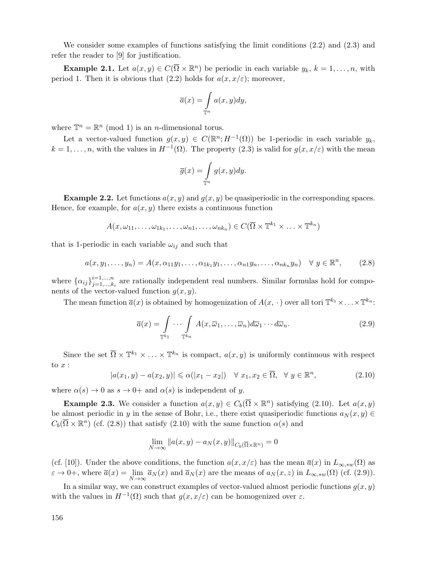We consider some examples of functions satisfying the limit conditions (2.2) and (2.3) and refer the reader to [9] for justification.

**Example 2.1.** Let  $a(x, y) \in C(\overline{\Omega} \times \mathbb{R}^n)$  be periodic in each variable  $y_k$ ,  $k = 1, \ldots, n$ , with period 1. Then it is obvious that (2.2) holds for  $a(x, x/\varepsilon)$ ; moreover,

$$
\overline{a}(x) = \int_{\mathbb{T}^n} a(x, y) dy,
$$

where  $\mathbb{T}^n = \mathbb{R}^n \pmod{1}$  is an *n*-dimensional torus.

Let a vector-valued function  $g(x, y) \in C(\mathbb{R}^n; H^{-1}(\Omega))$  be 1-periodic in each variable  $y_k$ ,  $k = 1, \ldots, n$ , with the values in  $H^{-1}(\Omega)$ . The property  $(2.3)$  is valid for  $g(x, x/\varepsilon)$  with the mean

$$
\overline{g}(x) = \int_{\mathbb{T}^n} g(x, y) dy.
$$

**Example 2.2.** Let functions  $a(x, y)$  and  $g(x, y)$  be quasiperiodic in the corresponding spaces. Hence, for example, for  $a(x, y)$  there exists a continuous function

$$
A(x, \omega_{11}, \ldots, \omega_{1k_1}, \ldots, \omega_{n1}, \ldots, \omega_{nk_n}) \in C(\overline{\Omega} \times \mathbb{T}^{k_1} \times \ldots \times \mathbb{T}^{k_n})
$$

that is 1-periodic in each variable  $\omega_{ij}$  and such that

$$
a(x, y_1, \ldots, y_n) = A(x, \alpha_{11}y_1, \ldots, \alpha_{1k_1}y_1, \ldots, \alpha_{n1}y_n, \ldots, \alpha_{nk_n}y_n) \quad \forall y \in \mathbb{R}^n, \qquad (2.8)
$$

where  $\{\alpha_{ij}\}_{j=1,\dots,k_i}^{i=1,\dots,n}$  are rationally independent real numbers. Similar formulas hold for components of the vector-valued function  $g(x, y)$ .

The mean function  $\overline{a}(x)$  is obtained by homogenization of  $A(x, \cdot)$  over all tori  $\mathbb{T}^{k_1} \times \ldots \times \mathbb{T}^{k_n}$ :

$$
\overline{a}(x) = \int_{\mathbb{T}^{k_1}} \cdots \int_{\mathbb{T}^{k_n}} A(x, \overline{\omega}_1, \dots, \overline{\omega}_n) d\overline{\omega}_1 \cdots d\overline{\omega}_n.
$$
\n(2.9)

Since the set  $\overline{\Omega} \times \mathbb{T}^{k_1} \times \ldots \times \mathbb{T}^{k_n}$  is compact,  $a(x, y)$  is uniformly continuous with respect to  $x$  :

$$
|a(x_1, y) - a(x_2, y)| \leq \alpha(|x_1 - x_2|) \quad \forall \ x_1, x_2 \in \overline{\Omega}, \quad \forall \ y \in \mathbb{R}^n,
$$
\n
$$
(2.10)
$$

where  $\alpha(s) \to 0$  as  $s \to 0^+$  and  $\alpha(s)$  is independent of y.

**Example 2.3.** We consider a function  $a(x, y) \in C_b(\overline{\Omega} \times \mathbb{R}^n)$  satisfying (2.10). Let  $a(x, y)$ be almost periodic in y in the sense of Bohr, i.e., there exist quasiperiodic functions  $a_N(x, y) \in$  $C_b(\overline{\Omega}\times\mathbb{R}^n)$  (cf. (2.8)) that satisfy (2.10) with the same function  $\alpha(s)$  and

$$
\lim_{N \to \infty} \|a(x, y) - a_N(x, y)\|_{C_b(\overline{\Omega} \times \mathbb{R}^n)} = 0
$$

(cf. [10]). Under the above conditions, the function  $a(x, x/\varepsilon)$  has the mean  $\overline{a}(x)$  in  $L_{\infty, *w}(\Omega)$  as  $\varepsilon \to 0^+$ , where  $\overline{a}(x) = \lim_{N \to \infty} \overline{a}_N(x)$  and  $\overline{a}_N(x)$  are the means of  $a_N(x, z)$  in  $L_{\infty, w}(\Omega)$  (cf. (2.9)).

In a similar way, we can construct examples of vector-valued almost periodic functions  $g(x, y)$ with the values in  $H^{-1}(\Omega)$  such that  $g(x, x/\varepsilon)$  can be homogenized over  $\varepsilon$ .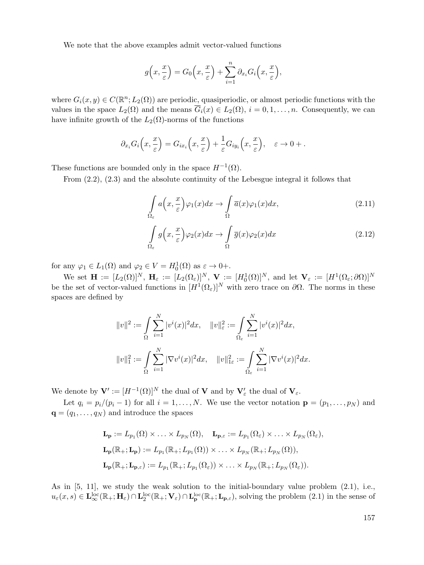We note that the above examples admit vector-valued functions

$$
g\left(x,\frac{x}{\varepsilon}\right) = G_0\left(x,\frac{x}{\varepsilon}\right) + \sum_{i=1}^n \partial_{x_i} G_i\left(x,\frac{x}{\varepsilon}\right),
$$

where  $G_i(x, y) \in C(\mathbb{R}^n; L_2(\Omega))$  are periodic, quasiperiodic, or almost periodic functions with the values in the space  $L_2(\Omega)$  and the means  $\overline{G}_i(x) \in L_2(\Omega)$ ,  $i = 0, 1, \ldots, n$ . Consequently, we can have infinite growth of the  $L_2(\Omega)$ -norms of the functions

$$
\partial_{x_i} G_i\left(x,\frac{x}{\varepsilon}\right) = G_{ix_i}\left(x,\frac{x}{\varepsilon}\right) + \frac{1}{\varepsilon} G_{iy_i}\left(x,\frac{x}{\varepsilon}\right), \quad \varepsilon \to 0 + .
$$

These functions are bounded only in the space  $H^{-1}(\Omega)$ .

Ωε

From (2.2), (2.3) and the absolute continuity of the Lebesgue integral it follows that

$$
\int_{\Omega_{\varepsilon}} a\left(x, \frac{x}{\varepsilon}\right) \varphi_1(x) dx \to \int_{\Omega} \overline{a}(x) \varphi_1(x) dx, \tag{2.11}
$$

$$
\int_{\Omega_{\varepsilon}} g\left(x, \frac{x}{\varepsilon}\right) \varphi_2(x) dx \to \int_{\Omega} \overline{g}(x) \varphi_2(x) dx \tag{2.12}
$$

for any  $\varphi_1 \in L_1(\Omega)$  and  $\varphi_2 \in V = H_0^1(\Omega)$  as  $\varepsilon \to 0+$ .

We set  $\mathbf{H} := [L_2(\Omega)]^N$ ,  $\mathbf{H}_{\varepsilon} := [L_2(\Omega_{\varepsilon})]^N$ ,  $\mathbf{V} := [H_0^1(\Omega)]^N$ , and let  $\mathbf{V}_{\varepsilon} := [H^1(\Omega_{\varepsilon}; \partial \Omega)]^N$ <br>be the set of vector-valued functions in  $[H^1(\Omega_{\varepsilon})]^N$  with zero trace on  $\partial \Omega$ . The norms in the spaces are defined by

$$
||v||^2 := \int_{\Omega} \sum_{i=1}^N |v^i(x)|^2 dx, \quad ||v||_{\varepsilon}^2 := \int_{\Omega_{\varepsilon}} \sum_{i=1}^N |v^i(x)|^2 dx,
$$
  

$$
||v||_1^2 := \int_{\Omega} \sum_{i=1}^N |\nabla v^i(x)|^2 dx, \quad ||v||_{1\varepsilon}^2 := \int_{\Omega_{\varepsilon}} \sum_{i=1}^N |\nabla v^i(x)|^2 dx.
$$

We denote by  $\mathbf{V}' := [H^{-1}(\Omega)]^N$  the dual of **V** and by  $\mathbf{V}'_{\varepsilon}$  the dual of  $\mathbf{V}_{\varepsilon}$ .

Let  $q_i = p_i/(p_i - 1)$  for all  $i = 1, ..., N$ . We use the vector notation  $\mathbf{p} = (p_1, ..., p_N)$  and  $\mathbf{q} = (q_1, \ldots, q_N)$  and introduce the spaces

$$
\mathbf{L}_{\mathbf{p}} := L_{p_1}(\Omega) \times \ldots \times L_{p_N}(\Omega), \quad \mathbf{L}_{\mathbf{p},\varepsilon} := L_{p_1}(\Omega_{\varepsilon}) \times \ldots \times L_{p_N}(\Omega_{\varepsilon}),
$$
\n
$$
\mathbf{L}_{\mathbf{p}}(\mathbb{R}_+; \mathbf{L}_{\mathbf{p}}) := L_{p_1}(\mathbb{R}_+; L_{p_1}(\Omega)) \times \ldots \times L_{p_N}(\mathbb{R}_+; L_{p_N}(\Omega)),
$$
\n
$$
\mathbf{L}_{\mathbf{p}}(\mathbb{R}_+; \mathbf{L}_{\mathbf{p},\varepsilon}) := L_{p_1}(\mathbb{R}_+; L_{p_1}(\Omega_{\varepsilon})) \times \ldots \times L_{p_N}(\mathbb{R}_+; L_{p_N}(\Omega_{\varepsilon})).
$$

As in [5, 11], we study the weak solution to the initial-boundary value problem (2.1), i.e.,  $u_{\varepsilon}(x,s) \in \mathbf{L}_{\infty}^{\text{loc}}(\mathbb{R}_{+};\mathbf{H}_{\varepsilon}) \cap \mathbf{L}_{2}^{\text{loc}}(\mathbb{R}_{+};\mathbf{V}_{\varepsilon}) \cap \mathbf{L}_{\mathbf{p}}^{\text{loc}}(\mathbb{R}_{+};\mathbf{L}_{\mathbf{p},\varepsilon})$ , solving the problem  $(2.1)$  in the sense of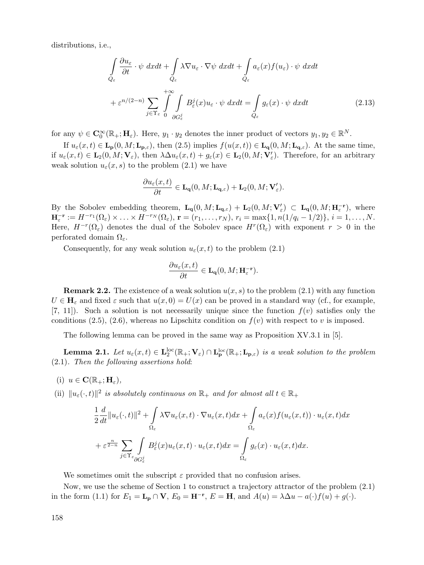distributions, i.e.,

$$
\int_{Q_{\varepsilon}} \frac{\partial u_{\varepsilon}}{\partial t} \cdot \psi \, dxdt + \int_{Q_{\varepsilon}} \lambda \nabla u_{\varepsilon} \cdot \nabla \psi \, dxdt + \int_{Q_{\varepsilon}} a_{\varepsilon}(x) f(u_{\varepsilon}) \cdot \psi \, dxdt
$$

$$
+ \varepsilon^{n/(2-n)} \sum_{j \in \Upsilon_{\varepsilon}} \int_{0}^{+\infty} \int_{\partial G_{\varepsilon}^{j}} B_{\varepsilon}^{j}(x) u_{\varepsilon} \cdot \psi \, dxdt = \int_{Q_{\varepsilon}} g_{\varepsilon}(x) \cdot \psi \, dxdt \qquad (2.13)
$$

for any  $\psi \in \mathbf{C}_0^{\infty}(\mathbb{R}_+;\mathbf{H}_{\varepsilon})$ . Here,  $y_1 \cdot y_2$  denotes the inner product of vectors  $y_1, y_2 \in \mathbb{R}^N$ .

If  $u_{\varepsilon}(x,t) \in \mathbf{L}_{\mathbf{p}}(0,M;\mathbf{L}_{\mathbf{p},\varepsilon})$ , then  $(2.5)$  implies  $f(u(x,t)) \in \mathbf{L}_{\mathbf{q}}(0,M;\mathbf{L}_{\mathbf{q},\varepsilon})$ . At the same time, if  $u_{\varepsilon}(x,t) \in \mathbf{L}_2(0,M; \mathbf{V}_{\varepsilon})$ , then  $\lambda \Delta u_{\varepsilon}(x,t) + g_{\varepsilon}(x) \in \mathbf{L}_2(0,M; \mathbf{V}'_{\varepsilon})$ . Therefore, for an arbitrary<br>weak solution  $u_{\varepsilon}(x,s)$  to the problem (2.1) we have weak solution  $u_{\varepsilon}(x, s)$  to the problem (2.1) we have

$$
\frac{\partial u_{\varepsilon}(x,t)}{\partial t} \in \mathbf{L}_{\mathbf{q}}(0,M;\mathbf{L}_{\mathbf{q},\varepsilon}) + \mathbf{L}_{2}(0,M;\mathbf{V}'_{\varepsilon}).
$$

By the Sobolev embedding theorem,  $\mathbf{L_q}(0, M; \mathbf{L_q},\varepsilon) + \mathbf{L_2}(0, M; \mathbf{V}'_{\varepsilon}) \subset \mathbf{L_q}(0, M; \mathbf{H}_{\varepsilon}^{-r})$ , where  $\mathbf{H}^{-r} := H^{-r_1}(\Omega) \times H^{-r_N}(\Omega)$ ,  $\mathbf{r} = (x_1, x_2)$ ,  $x_3 = \max\{1, x(1/x_1, 1/2)\}, \varepsilon = 1, \dots, N$  $\mathbf{H}_{\varepsilon}^{-\mathbf{r}} := H^{-r_1}(\Omega_{\varepsilon}) \times ... \times H^{-r_N}(\Omega_{\varepsilon}), \mathbf{r} = (r_1, ..., r_N), r_i = \max\{1, n(1/q_i - 1/2)\}, i = 1, ..., N.$ Here,  $H^{-r}(\Omega_{\varepsilon})$  denotes the dual of the Sobolev space  $H^{r}(\Omega_{\varepsilon})$  with exponent  $r > 0$  in the perforated domain  $\Omega_{\varepsilon}$ .

Consequently, for any weak solution  $u_{\varepsilon}(x,t)$  to the problem (2.1)

$$
\frac{\partial u_{\varepsilon}(x,t)}{\partial t} \in \mathbf{L}_{\mathbf{q}}(0,M;\mathbf{H}_{\varepsilon}^{-\mathbf{r}}).
$$

**Remark 2.2.** The existence of a weak solution  $u(x, s)$  to the problem (2.1) with any function  $U \in \mathbf{H}_{\varepsilon}$  and fixed  $\varepsilon$  such that  $u(x, 0) = U(x)$  can be proved in a standard way (cf., for example,  $[7, 11]$ . Such a solution is not necessarily unique since the function  $f(v)$  satisfies only the conditions (2.5), (2.6), whereas no Lipschitz condition on  $f(v)$  with respect to v is imposed.

The following lemma can be proved in the same way as Proposition XV.3.1 in [5].

**Lemma 2.1.** *Let*  $u_{\varepsilon}(x,t) \in \mathbf{L}_2^{\text{loc}}(\mathbb{R}_+;\mathbf{V}_{\varepsilon}) \cap \mathbf{L}_{\mathbf{p}}^{\text{loc}}(\mathbb{R}_+;\mathbf{L}_{\mathbf{p},\varepsilon})$  *is a weak solution to the problem*<br>  $\sum_{k} P_{\varepsilon}(x,t) = \sum_{k} P_{\varepsilon}(x,t) P_{\varepsilon}(x,t) P_{\varepsilon}(x,t) P_{\varepsilon}(x,t) P_{\varepsilon}(x,t) P_{\$ (2.1)*. Then the following assertions hold*:

 $(i)$   $u \in \mathbf{C}(\mathbb{R}_+;\mathbf{H}_{\varepsilon}),$ 

(ii)  $||u_{\varepsilon}(\cdot,t)||^2$  *is absolutely continuous on*  $\mathbb{R}_+$  *and for almost all*  $t \in \mathbb{R}_+$ 

$$
\frac{1}{2}\frac{d}{dt}\|u_{\varepsilon}(\cdot,t)\|^2 + \int_{\Omega_{\varepsilon}} \lambda \nabla u_{\varepsilon}(x,t) \cdot \nabla u_{\varepsilon}(x,t) dx + \int_{\Omega_{\varepsilon}} a_{\varepsilon}(x) f(u_{\varepsilon}(x,t)) \cdot u_{\varepsilon}(x,t) dx
$$

$$
+ \varepsilon^{\frac{n}{2-n}} \sum_{j \in \Upsilon_{\varepsilon}} \int_{\partial G_{\varepsilon}^j} B_{\varepsilon}^j(x) u_{\varepsilon}(x,t) \cdot u_{\varepsilon}(x,t) dx = \int_{\Omega_{\varepsilon}} g_{\varepsilon}(x) \cdot u_{\varepsilon}(x,t) dx.
$$

We sometimes omit the subscript  $\varepsilon$  provided that no confusion arises.

Now, we use the scheme of Section 1 to construct a trajectory attractor of the problem (2.1) in the form (1.1) for  $E_1 = \mathbf{L}_p \cap \mathbf{V}$ ,  $E_0 = \mathbf{H}^{-r}$ ,  $E = \mathbf{H}$ , and  $A(u) = \lambda \Delta u - a(\cdot) f(u) + g(\cdot)$ .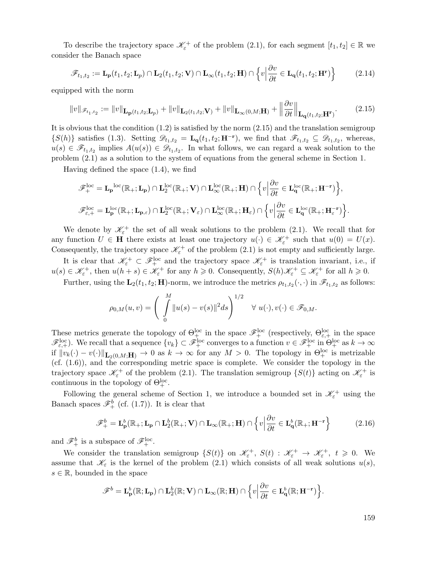To describe the trajectory space  $\mathscr{K}_{\varepsilon}^+$  of the problem (2.1), for each segment  $[t_1, t_2] \in \mathbb{R}$  we consider the Banach space

$$
\mathscr{F}_{t_1,t_2} := \mathbf{L}_{\mathbf{p}}(t_1,t_2;\mathbf{L}_p) \cap \mathbf{L}_2(t_1,t_2;\mathbf{V}) \cap \mathbf{L}_{\infty}(t_1,t_2;\mathbf{H}) \cap \left\{ v \Big| \frac{\partial v}{\partial t} \in \mathbf{L}_{\mathbf{q}}(t_1,t_2;\mathbf{H}^{\mathbf{r}}) \right\}
$$
(2.14)

equipped with the norm

$$
||v||_{\mathscr{F}_{t_1,t_2}} := ||v||_{\mathbf{L}_{\mathbf{p}}(t_1,t_2;\mathbf{L}_p)} + ||v||_{\mathbf{L}_2(t_1,t_2;\mathbf{V})} + ||v||_{\mathbf{L}_{\infty}(0,M;\mathbf{H})} + \left||\frac{\partial v}{\partial t} \right||_{\mathbf{L}_{\mathbf{q}}(t_1,t_2;\mathbf{H}^{\mathbf{r}})}.
$$
(2.15)

It is obvious that the condition  $(1.2)$  is satisfied by the norm  $(2.15)$  and the translation semigroup  $\{S(h)\}\$  satisfies (1.3). Setting  $\mathscr{D}_{t_1,t_2} = \mathbf{L_q}(t_1,t_2;\mathbf{H}^{-\mathbf{r}})$ , we find that  $\mathscr{F}_{t_1,t_2} \subseteq \mathscr{D}_{t_1,t_2}$ , whereas,  $u(s) \in \mathscr{F}_{t_1,t_2}$  implies  $A(u(s)) \in \mathscr{D}_{t_1,t_2}$ . In what follows, we can regard a weak solution to the problem (2.1) as a solution to the system of equations from the general scheme in Section 1.

Having defined the space (1.4), we find

$$
\begin{split} \mathscr{F}^{\text{loc}}_{+} &= \mathbf{L}_{\mathbf{p}}^{\text{loc}}(\mathbb{R}_{+};\mathbf{L}_{\mathbf{p}}) \cap \mathbf{L}^{\text{loc}}_{2}(\mathbb{R}_{+};\mathbf{V}) \cap \mathbf{L}^{\text{loc}}_{\infty}(\mathbb{R}_{+};\mathbf{H}) \cap \Big\{v \Big| \frac{\partial v}{\partial t} \in \mathbf{L}^{\text{loc}}_{\mathbf{q}}(\mathbb{R}_{+};\mathbf{H}^{-r})\Big\},\\ \mathscr{F}^{\text{loc}}_{\varepsilon,+} &= \mathbf{L}^{\text{loc}}_{\mathbf{p}}(\mathbb{R}_{+};\mathbf{L}_{\mathbf{p},\varepsilon}) \cap \mathbf{L}^{\text{loc}}_{2}(\mathbb{R}_{+};\mathbf{V}_{\varepsilon}) \cap \mathbf{L}^{\text{loc}}_{\infty}(\mathbb{R}_{+};\mathbf{H}_{\varepsilon}) \cap \Big\{v \Big| \frac{\partial v}{\partial t} \in \mathbf{L}^{\text{loc}}_{\mathbf{q}}(\mathbb{R}_{+};\mathbf{H}^{-r}_{\varepsilon})\Big\}. \end{split}
$$

We denote by  $\mathscr{K}_{\varepsilon}^+$  the set of all weak solutions to the problem (2.1). We recall that for any function  $U \in \mathbf{H}$  there exists at least one trajectory  $u(\cdot) \in \mathcal{K}_\varepsilon^+$  such that  $u(0) = U(x)$ .<br>Consequently the trajectory space  $\mathcal{K}^+$  of the problem (2.1) is not empty and sufficiently large. Consequently, the trajectory space  $\mathscr{K}_{\varepsilon}^+$  of the problem (2.1) is not empty and sufficiently large.

It is clear that  $\mathscr{K}_{\varepsilon}^+ \subset \mathscr{F}_{+}^{\text{loc}}$  and the trajectory space  $\mathscr{K}_{\varepsilon}^+$  is translation invariant, i.e., if  $u(s) \in \mathcal{K}_{\varepsilon}^+$ , then  $u(h+s) \in \mathcal{K}_{\varepsilon}^+$  for any  $h \geqslant 0$ . Consequently,  $S(h)\mathcal{K}_{\varepsilon}^+ \subseteq \mathcal{K}_{\varepsilon}^+$  for all  $h \geqslant 0$ .

Further, using the  $\mathbf{L}_2(t_1, t_2; \mathbf{H})$ -norm, we introduce the metrics  $\rho_{t_1,t_2}(\cdot, \cdot)$  in  $\mathscr{F}_{t_1,t_2}$  as follows:

$$
\rho_{0,M}(u,v) = \left(\int\limits_0^M \|u(s)-v(s)\|^2 ds\right)^{1/2} \quad \forall \ u(\cdot), v(\cdot) \in \mathscr{F}_{0,M}.
$$

These metrics generate the topology of  $\Theta_{\pm}^{\text{loc}}$  in the space  $\mathscr{F}_{+}^{\text{loc}}$  (respectively,  $\Theta_{\varepsilon,+}^{\text{loc}}$  in the space  $\mathscr{F}_{\varepsilon,+}^{\text{loc}}$ ). We recall that a sequence  $\{v_k\} \subset \mathscr{F}_{+}^{\text{loc}}$  converges to a function  $v \in \mathscr{F}_{+}^{\text{loc}}$  in  $\Theta_{+}^{\text{loc}}$  as  $k \to \infty$ if  $||v_k(\cdot) - v(\cdot)||_{\mathbf{L}_2(0,M;\mathbf{H})} \to 0$  as  $k \to \infty$  for any  $M > 0$ . The topology in  $\Theta_+^{\text{loc}}$  is metrizable (cf. (1.6)) and the corresponding metric space is complete. We consider the topology in the (cf. (1.6)), and the corresponding metric space is complete. We consider the topology in the trajectory space  $\mathscr{K}_{\varepsilon}^+$  of the problem (2.1). The translation semigroup  $\{S(t)\}\$ acting on  $\mathscr{K}_{\varepsilon}^+$  is continuous in the topology of  $\Theta_+^{\text{loc}}$ .

Following the general scheme of Section 1, we introduce a bounded set in  $\mathscr{K}_{\varepsilon}^+$  using the Banach spaces  $\mathscr{F}_{+}^{b}$  (cf. (1.7)). It is clear that

$$
\mathscr{F}_{+}^{b} = \mathbf{L}_{\mathbf{p}}^{b}(\mathbb{R}_{+}; \mathbf{L}_{\mathbf{p}} \cap \mathbf{L}_{2}^{b}(\mathbb{R}_{+}; \mathbf{V}) \cap \mathbf{L}_{\infty}(\mathbb{R}_{+}; \mathbf{H}) \cap \left\{v \Big| \frac{\partial v}{\partial t} \in \mathbf{L}_{\mathbf{q}}^{b}(\mathbb{R}_{+}; \mathbf{H}^{-r}\right\}
$$
(2.16)

and  $\mathscr{F}_{+}^{b}$  is a subspace of  $\mathscr{F}_{+}^{\text{loc}}$ .

We consider the translation semigroup  $\{S(t)\}\$  on  $\mathscr{K}_{\varepsilon}^+\$ ,  $S(t)$  :  $\mathscr{K}_{\varepsilon}^+\to \mathscr{K}_{\varepsilon}^+\$ ,  $t\geqslant 0$ . We assume that  $\mathscr{K}_{\varepsilon}$  is the kernel of the problem (2.1) which consists of all weak solutions  $u(s)$ ,  $s \in \mathbb{R}$ , bounded in the space

$$
\mathscr{F}^b = \mathbf{L}^b_{\mathbf{p}}(\mathbb{R}; \mathbf{L}_{\mathbf{p}}) \cap \mathbf{L}^b_2(\mathbb{R}; \mathbf{V}) \cap \mathbf{L}_{\infty}(\mathbb{R}; \mathbf{H}) \cap \Big\{ v \Big| \frac{\partial v}{\partial t} \in \mathbf{L}^b_{\mathbf{q}}(\mathbb{R}; \mathbf{H}^{-r}) \Big\}.
$$

159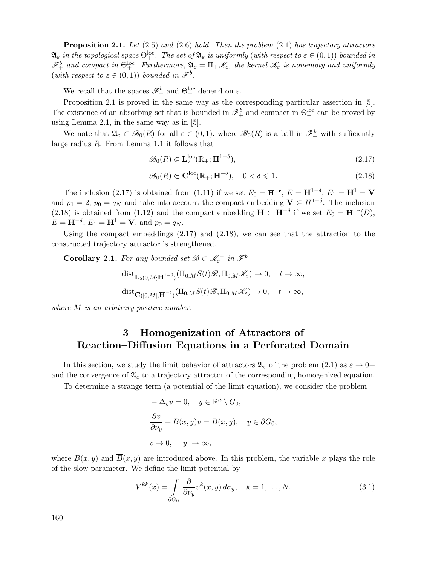**Proposition 2.1.** *Let* (2.5) *and* (2.6) *hold. Then the problem* (2.1) *has trajectory attractors*  $\mathfrak{A}_{\varepsilon}$  *in the topological space*  $\Theta_{+}^{\rm loc}$ *. The set of*  $\mathfrak{A}_{\varepsilon}$  *is uniformly (with respect to*  $\varepsilon \in (0,1)$ ) *bounded in*  $\mathscr{F}_{+}^{b}$  and compact in  $\Theta_{+}^{\text{loc}}$ . Furthermore,  $\mathfrak{A}_{\varepsilon} = \Pi_{+}\mathscr{K}_{\varepsilon}$ , the kernel  $\mathscr{K}_{\varepsilon}$  is nonempty and uniformly (*with respect to*  $\varepsilon \in (0,1)$ ) *bounded in*  $\mathscr{F}^b$ .

We recall that the spaces  $\mathscr{F}_{+}^{b}$  and  $\Theta_{+}^{\text{loc}}$  depend on  $\varepsilon$ .

Proposition 2.1 is proved in the same way as the corresponding particular assertion in [5]. The existence of an absorbing set that is bounded in  $\mathscr{F}_{+}^{b}$  and compact in  $\Theta_{+}^{\text{loc}}$  can be proved by using Lemma 2.1, in the same way as in [5].

We note that  $\mathfrak{A}_{\varepsilon} \subset \mathscr{B}_0(R)$  for all  $\varepsilon \in (0,1)$ , where  $\mathscr{B}_0(R)$  is a ball in  $\mathscr{F}_{+}^b$  with sufficiently large radius R. From Lemma 1.1 it follows that

$$
\mathscr{B}_0(R) \Subset \mathbf{L}_2^{\text{loc}}(\mathbb{R}_+;\mathbf{H}^{1-\delta}),\tag{2.17}
$$

$$
\mathscr{B}_0(R) \Subset \mathbf{C}^{\rm loc}(\mathbb{R}_+; \mathbf{H}^{-\delta}), \quad 0 < \delta \leq 1.
$$
 (2.18)

The inclusion (2.17) is obtained from (1.11) if we set  $E_0 = \mathbf{H}^{-\mathbf{r}}, E = \mathbf{H}^{1-\delta}, E_1 = \mathbf{H}^1 = \mathbf{V}$ and  $p_1 = 2$ ,  $p_0 = q_N$  and take into account the compact embedding  $\mathbf{V} \in H^{1-\delta}$ . The inclusion  $(2.18)$  is obtained from  $(1.12)$  and the compact embedding  $\mathbf{H} \in \mathbf{H}^{-\delta}$  if we set  $F_2 = \mathbf{H}^{-r}(D)$ . (2.18) is obtained from (1.12) and the compact embedding  $\mathbf{H} \in \mathbf{H}^{-\delta}$  if we set  $E_0 = \mathbf{H}^{-\mathbf{r}}(D)$ ,<br> $F - \mathbf{H}^{-\delta}$ ,  $F = \mathbf{H}^1 - \mathbf{V}$  and  $p_0 = q_0$ .  $E = H^{-\delta}, E_1 = H^1 = V$ , and  $p_0 = q_N$ .

Using the compact embeddings (2.17) and (2.18), we can see that the attraction to the constructed trajectory attractor is strengthened.

**Corollary 2.1.** For any bounded set  $\mathscr{B} \subset \mathscr{K}_{\varepsilon}^+$  in  $\mathscr{F}_{+}^b$ 

$$
dist_{\mathbf{L}_2(0,M;\mathbf{H}^{1-\delta})}(\Pi_{0,M}S(t)\mathscr{B},\Pi_{0,M}\mathscr{K}_{\varepsilon}) \to 0, \quad t \to \infty,
$$
  

$$
dist_{\mathbf{C}([0,M];\mathbf{H}^{-\delta})}(\Pi_{0,M}S(t)\mathscr{B},\Pi_{0,M}\mathscr{K}_{\varepsilon}) \to 0, \quad t \to \infty,
$$

*where* M *is an arbitrary positive number.*

# **3 Homogenization of Attractors of Reaction–Diffusion Equations in a Perforated Domain**

In this section, we study the limit behavior of attractors  $\mathfrak{A}_{\varepsilon}$  of the problem (2.1) as  $\varepsilon \to 0+$ and the convergence of  $\mathfrak{A}_{\varepsilon}$  to a trajectory attractor of the corresponding homogenized equation.

To determine a strange term (a potential of the limit equation), we consider the problem

$$
-\Delta_y v = 0, \quad y \in \mathbb{R}^n \setminus G_0,
$$
  

$$
\frac{\partial v}{\partial \nu_y} + B(x, y)v = \overline{B}(x, y), \quad y \in \partial G_0,
$$
  

$$
v \to 0, \quad |y| \to \infty,
$$

where  $B(x, y)$  and  $\overline{B}(x, y)$  are introduced above. In this problem, the variable x plays the role of the slow parameter. We define the limit potential by

$$
V^{kk}(x) = \int\limits_{\partial G_0} \frac{\partial}{\partial \nu_y} v^k(x, y) d\sigma_y, \quad k = 1, \dots, N. \tag{3.1}
$$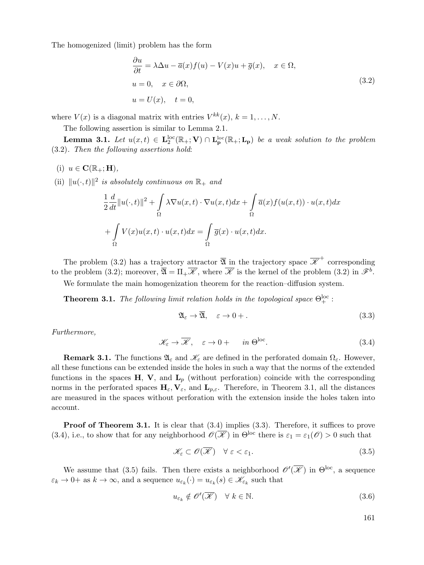The homogenized (limit) problem has the form

$$
\frac{\partial u}{\partial t} = \lambda \Delta u - \overline{a}(x) f(u) - V(x)u + \overline{g}(x), \quad x \in \Omega,
$$
  
\n
$$
u = 0, \quad x \in \partial \Omega,
$$
  
\n
$$
u = U(x), \quad t = 0,
$$
\n(3.2)

where  $V(x)$  is a diagonal matrix with entries  $V^{kk}(x)$ ,  $k = 1, \ldots, N$ .

The following assertion is similar to Lemma 2.1.

**Lemma 3.1.** *Let*  $u(x,t) \in \mathbf{L}_2^{\text{loc}}(\mathbb{R}_+;\mathbf{V}) \cap \mathbf{L}_{\mathbf{p}}^{\text{loc}}(\mathbb{R}_+;\mathbf{L}_{\mathbf{p}})$  *be a weak solution to the problem* (3.2)*. Then the following assertions hold*:

 $(i)$   $u \in \mathbf{C}(\mathbb{R}_+; \mathbf{H}),$ 

(ii)  $||u(\cdot, t)||^2$  *is absolutely continuous on*  $\mathbb{R}_+$  *and* 

$$
\frac{1}{2}\frac{d}{dt}\|u(\cdot,t)\|^2 + \int_{\Omega} \lambda \nabla u(x,t) \cdot \nabla u(x,t) dx + \int_{\Omega} \overline{a}(x)f(u(x,t)) \cdot u(x,t) dx
$$

$$
+ \int_{\Omega} V(x)u(x,t) \cdot u(x,t) dx = \int_{\Omega} \overline{g}(x) \cdot u(x,t) dx.
$$

The problem (3.2) has a trajectory attractor  $\overline{\mathfrak{A}}$  in the trajectory space  $\overline{\mathscr{K}}^+$  corresponding to the problem (3.2); moreover,  $\overline{\mathfrak{A}} = \Pi_+ \overline{\mathscr{K}}$ , where  $\overline{\mathscr{K}}$  is the kernel of the problem (3.2) in  $\mathscr{F}^b$ .

We formulate the main homogenization theorem for the reaction–diffusion system.

**Theorem 3.1.** *The following limit relation holds in the topological space*  $\Theta_{+}^{\text{loc}}$ :

$$
\mathfrak{A}_{\varepsilon} \to \overline{\mathfrak{A}}, \quad \varepsilon \to 0 + . \tag{3.3}
$$

*Furthermore,*

$$
\mathcal{K}_{\varepsilon} \to \overline{\mathcal{K}}, \quad \varepsilon \to 0 + \quad in \Theta^{\rm loc}.
$$
 (3.4)

**Remark 3.1.** The functions  $\mathfrak{A}_{\varepsilon}$  and  $\mathscr{K}_{\varepsilon}$  are defined in the perforated domain  $\Omega_{\varepsilon}$ . However, all these functions can be extended inside the holes in such a way that the norms of the extended functions in the spaces  $H$ ,  $V$ , and  $L_p$  (without perforation) coincide with the corresponding norms in the perforated spaces  $H_{\varepsilon}$ ,  $V_{\varepsilon}$ , and  $L_{p,\varepsilon}$ . Therefore, in Theorem 3.1, all the distances are measured in the spaces without perforation with the extension inside the holes taken into account.

**Proof of Theorem 3.1.** It is clear that  $(3.4)$  implies  $(3.3)$ . Therefore, it suffices to prove (3.4), i.e., to show that for any neighborhood  $\mathscr{O}(\overline{\mathscr{K}})$  in  $\Theta^{\text{loc}}$  there is  $\varepsilon_1 = \varepsilon_1(\mathscr{O}) > 0$  such that

$$
\mathcal{K}_{\varepsilon} \subset \mathcal{O}(\overline{\mathcal{K}}) \quad \forall \ \varepsilon < \varepsilon_1. \tag{3.5}
$$

We assume that (3.5) fails. Then there exists a neighborhood  $\mathscr{O}'(\overline{\mathscr{K}})$  in  $\Theta^{\rm loc}$ , a sequence  $\varepsilon_k \to 0^+$  as  $k \to \infty$ , and a sequence  $u_{\varepsilon_k}(\cdot) = u_{\varepsilon_k}(s) \in \mathscr{K}_{\varepsilon_k}$  such that

$$
u_{\varepsilon_k} \notin \mathscr{O}'(\overline{\mathscr{K}}) \quad \forall \ k \in \mathbb{N}.\tag{3.6}
$$

161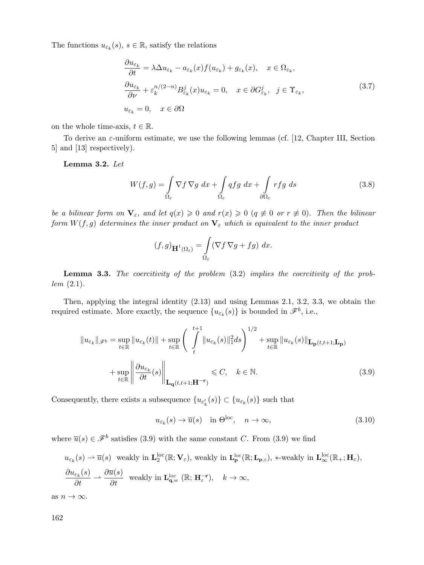The functions  $u_{\varepsilon_k}(s), s \in \mathbb{R}$ , satisfy the relations

$$
\frac{\partial u_{\varepsilon_k}}{\partial t} = \lambda \Delta u_{\varepsilon_k} - a_{\varepsilon_k}(x) f(u_{\varepsilon_k}) + g_{\varepsilon_k}(x), \quad x \in \Omega_{\varepsilon_k},
$$
  

$$
\frac{\partial u_{\varepsilon_k}}{\partial \nu} + \varepsilon_k^{n/(2-n)} B_{\varepsilon_k}^j(x) u_{\varepsilon_k} = 0, \quad x \in \partial G_{\varepsilon_k}^j, \quad j \in \Upsilon_{\varepsilon_k},
$$
  

$$
u_{\varepsilon_k} = 0, \quad x \in \partial \Omega
$$
\n(3.7)

on the whole time-axis,  $t \in \mathbb{R}$ .

To derive an  $\varepsilon$ -uniform estimate, we use the following lemmas (cf. [12, Chapter III, Section 5] and [13] respectively).

**Lemma 3.2.** *Let*

$$
W(f,g) = \int_{\Omega_{\varepsilon}} \nabla f \nabla g \, dx + \int_{\Omega_{\varepsilon}} q f g \, dx + \int_{\partial \Omega_{\varepsilon}} r f g \, ds \tag{3.8}
$$

*be a bilinear form on*  $\mathbf{V}_{\varepsilon}$ , and let  $q(x) \geq 0$  and  $r(x) \geq 0$  ( $q \not\equiv 0$  or  $r \not\equiv 0$ ). Then the bilinear<br>form  $W(f, g)$  determines the inner product on  $\mathbf{V}$ , which is equivalent to the inner product *form*  $W(f,g)$  *determines the inner product on*  $\mathbf{V}_{\varepsilon}$  *which is equivalent to the inner product* 

$$
(f,g)_{\mathbf{H}^1(\Omega_{\varepsilon})} = \int\limits_{\Omega_{\varepsilon}} (\nabla f \, \nabla g + fg) \, dx.
$$

**Lemma 3.3.** *The coercitivity of the problem* (3.2) *implies the coercitivity of the problem* (2.1)*.*

Then, applying the integral identity (2.13) and using Lemmas 2.1, 3.2, 3.3, we obtain the required estimate. More exactly, the sequence  ${u_{\varepsilon_k}(s)}$  is bounded in  $\mathscr{F}^b$ , i.e.,

$$
||u_{\varepsilon_k}||_{\mathscr{F}^b} = \sup_{t \in \mathbb{R}} ||u_{\varepsilon_k}(t)|| + \sup_{t \in \mathbb{R}} \left( \int_t^{t+1} ||u_{\varepsilon_k}(s)||_1^2 ds \right)^{1/2} + \sup_{t \in \mathbb{R}} ||u_{\varepsilon_k}(s)||_{\mathbf{L}_{\mathbf{p}}(t,t+1; \mathbf{L}_{\mathbf{p}})} + \sup_{t \in \mathbb{R}} \left\| \frac{\partial u_{\varepsilon_k}}{\partial t}(s) \right\|_{\mathbf{L}_{\mathbf{q}}(t,t+1; \mathbf{H}^{-\mathbf{r}})} \leq C, \quad k \in \mathbb{N}.
$$
\n(3.9)

Consequently, there exists a subsequence  ${u_{\varepsilon'_{k}}(s)} \subset {u_{\varepsilon_k}(s)}$  such that

$$
u_{\varepsilon_k}(s) \to \overline{u}(s) \quad \text{in } \Theta^{\text{loc}}, \quad n \to \infty,
$$
\n(3.10)

where  $\overline{u}(s) \in \mathscr{F}^b$  satisfies (3.9) with the same constant C. From (3.9) we find

$$
u_{\varepsilon_k}(s) \rightharpoonup \overline{u}(s) \quad \text{weakly in } \mathbf{L}_2^{\text{loc}}(\mathbb{R}; \mathbf{V}_{\varepsilon}), \text{ weakly in } \mathbf{L}_{\mathbf{p}}^{\text{loc}}(\mathbb{R}; \mathbf{L}_{\mathbf{p}, \varepsilon}), *-\text{weakly in } \mathbf{L}_{\infty}^{\text{loc}}(\mathbb{R}_+; \mathbf{H}_{\varepsilon}),
$$
  

$$
\frac{\partial u_{\varepsilon_k}(s)}{\partial t} \rightharpoonup \frac{\partial \overline{u}(s)}{\partial t} \quad \text{weakly in } \mathbf{L}_{\mathbf{q},w}^{\text{loc}}(\mathbb{R}; \mathbf{H}_{\varepsilon}^{-r}), \quad k \to \infty,
$$

as  $n \to \infty$ .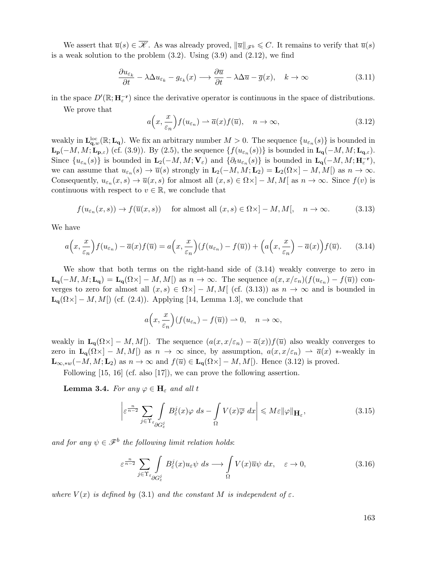We assert that  $\overline{u}(s) \in \overline{\mathscr{K}}$ . As was already proved,  $\|\overline{u}\|_{\mathscr{F}^b} \leq C$ . It remains to verify that  $\overline{u}(s)$ is a weak solution to the problem  $(3.2)$ . Using  $(3.9)$  and  $(2.12)$ , we find

$$
\frac{\partial u_{\varepsilon_k}}{\partial t} - \lambda \Delta u_{\varepsilon_k} - g_{\varepsilon_k}(x) \longrightarrow \frac{\partial \overline{u}}{\partial t} - \lambda \Delta \overline{u} - \overline{g}(x), \quad k \to \infty \tag{3.11}
$$

in the space  $D'(\mathbb{R}; \mathbf{H}_{\varepsilon}^{-\mathbf{r}})$  since the derivative operator is continuous in the space of distributions.

We prove that

$$
a\Big(x,\frac{x}{\varepsilon_n}\Big)f(u_{\varepsilon_n}) \rightharpoonup \overline{a}(x)f(\overline{u}), \quad n \to \infty,
$$
\n(3.12)

weakly in  $\mathbf{L}^{\text{loc}}_{\mathbf{q},w}(\mathbb{R}; \mathbf{L}_{\mathbf{q}})$ . We fix an arbitrary number  $M > 0$ . The sequence  $\{u_{\varepsilon_n}(s)\}$  is bounded in **Lp**(−M, M; **Lp**, $\varepsilon$ ) (cf. (3.9)). By (2.5), the sequence { $f(u_{\varepsilon_n}(s))$ } is bounded in **Lq**(−M, M; **Lq**, $\varepsilon$ ). Since  $\{u_{\varepsilon_n}(s)\}\$ is bounded in  $\mathbf{L}_2(-M,M; \mathbf{V}_{\varepsilon})$  and  $\{\partial_t u_{\varepsilon_n}(s)\}\$ is bounded in  $\mathbf{L}_q(-M,M; \mathbf{H}_{\varepsilon}^{-r})$ , we can assume that  $u_{\varepsilon_n}(s) \to \overline{u}(s)$  strongly in  $\mathbf{L}_2(-M,M;\mathbf{L}_2) = \mathbf{L}_2(\Omega \times [-M,M])$  as  $n \to \infty$ . Consequently,  $u_{\varepsilon_n}(x, s) \to \overline{u}(x, s)$  for almost all  $(x, s) \in \Omega \times ]-M, M[$  as  $n \to \infty$ . Since  $f(v)$  is continuous with respect to  $v \in \mathbb{R}$ , we conclude that

$$
f(u_{\varepsilon_n}(x,s)) \to f(\overline{u}(x,s)) \quad \text{ for almost all } (x,s) \in \Omega \times ]-M,M[, \quad n \to \infty. \tag{3.13}
$$

We have

$$
a\left(x,\frac{x}{\varepsilon_n}\right) f(u_{\varepsilon_n}) - \overline{a}(x) f(\overline{u}) = a\left(x,\frac{x}{\varepsilon_n}\right) (f(u_{\varepsilon_n}) - f(\overline{u})) + \left(a\left(x,\frac{x}{\varepsilon_n}\right) - \overline{a}(x)\right) f(\overline{u}).\tag{3.14}
$$

We show that both terms on the right-hand side of (3.14) weakly converge to zero in  $\mathbf{L}_{\mathbf{q}}(-M,M;\mathbf{L}_{\mathbf{q}}) = \mathbf{L}_{\mathbf{q}}(\Omega \times ] - M,M[$  as  $n \to \infty$ . The sequence  $a(x,x/\varepsilon_n)(f(u_{\varepsilon_n}) - f(\overline{u}))$  converges to zero for almost all  $(x, s) \in \Omega \times ]-M, M[$  (cf. (3.13)) as  $n \to \infty$  and is bounded in  $\mathbf{L}_{q}(\Omega \times ] - M, M[$  (cf. (2.4)). Applying [14, Lemma 1.3], we conclude that

$$
a\left(x, \frac{x}{\varepsilon_n}\right) (f(u_{\varepsilon_n}) - f(\overline{u})) \to 0, \quad n \to \infty,
$$

weakly in  $\mathbf{L}_{\mathbf{q}}(\Omega \times ] - M, M[$ ). The sequence  $(a(x, x/\varepsilon_n) - \overline{a}(x))f(\overline{u})$  also weakly converges to zero in  $\mathbf{L}_{q}(\Omega) \setminus -M, M$  as  $n \to \infty$  since, by assumption,  $a(x, x/\varepsilon_n) \to \overline{a}(x)$  \*-weakly in **L**<sub>∞,\*w</sub>(−M, M;**L**<sub>2</sub>) as  $n \to \infty$  and  $f(\overline{u}) \in$ **L**<sub>**q**</sub>( $\Omega \times$ ] − M, M[). Hence (3.12) is proved.

Following [15, 16] (cf. also [17]), we can prove the following assertion.

**Lemma 3.4.** *For any*  $\varphi \in \mathbf{H}_{\varepsilon}$  *and all* t

$$
\left| \varepsilon^{\frac{n}{n-2}} \sum_{j \in \Upsilon_{\varepsilon}} \int_{\partial G_{\varepsilon}^j} B_{\varepsilon}^j(x) \varphi \, ds - \int_{\Omega} V(x) \overline{\varphi} \, dx \right| \leqslant M \varepsilon ||\varphi||_{\mathbf{H}_{\varepsilon}}, \tag{3.15}
$$

*and for any*  $\psi \in \mathscr{F}^b$  *the following limit relation holds:* 

$$
\varepsilon^{\frac{n}{n-2}} \sum_{j \in \Upsilon_{\varepsilon}} \int_{\partial G_{\varepsilon}^j} B_{\varepsilon}^j(x) u_{\varepsilon} \psi \, ds \longrightarrow \int_{\Omega} V(x) \overline{u} \psi \, dx, \quad \varepsilon \to 0,
$$
\n(3.16)

*where*  $V(x)$  *is defined by* (3.1) *and the constant* M *is independent of*  $\varepsilon$ .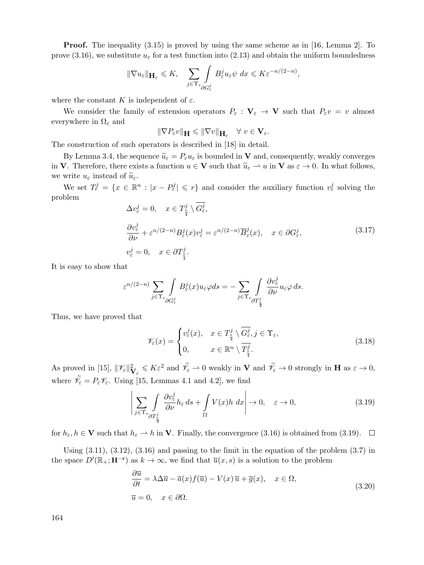**Proof.** The inequality (3.15) is proved by using the same scheme as in [16, Lemma 2]. To prove (3.16), we substitute  $u_{\varepsilon}$  for a test function into (2.13) and obtain the uniform boundedness

$$
\|\nabla u_{\varepsilon}\|_{\mathbf{H}_{\varepsilon}} \leqslant K, \quad \sum_{j\in\Upsilon_{\varepsilon}} \int_{\partial G_{\varepsilon}^j} B_{\varepsilon}^j u_{\varepsilon} \psi \ dx \leqslant K \varepsilon^{-n/(2-n)},
$$

where the constant K is independent of  $\varepsilon$ .

We consider the family of extension operators  $P_{\varepsilon}: \mathbf{V}_{\varepsilon} \to \mathbf{V}$  such that  $P_{\varepsilon}v = v$  almost everywhere in  $\Omega_{\varepsilon}$  and

$$
\|\nabla P_{\varepsilon}v\|_{\mathbf{H}} \leq \|\nabla v\|_{\mathbf{H}_{\varepsilon}} \quad \forall \ v \in \mathbf{V}_{\varepsilon}.
$$

The construction of such operators is described in [18] in detail.

By Lemma 3.4, the sequence  $\tilde{u}_{\varepsilon} = P_{\varepsilon} u_{\varepsilon}$  is bounded in **V** and, consequently, weakly converges in **V**. Therefore, there exists a function  $u \in \mathbf{V}$  such that  $\widetilde{u}_{\varepsilon} \to u$  in **V** as  $\varepsilon \to 0$ . In what follows, we write  $u_\varepsilon$  instead of  $\widetilde{u}_\varepsilon$ .

We set  $T_r^j = \{x \in \mathbb{R}^n : |x - P_{\varepsilon}^j| \leq r\}$  and consider the auxiliary function  $v_{\varepsilon}^j$  solving the problem

$$
\Delta v_{\varepsilon}^{j} = 0, \quad x \in T_{\frac{\varepsilon}{4}}^{j} \setminus G_{\varepsilon}^{j},
$$
\n
$$
\frac{\partial v_{\varepsilon}^{j}}{\partial \nu} + \varepsilon^{n/(2-n)} B_{\varepsilon}^{j}(x) v_{\varepsilon}^{j} = \varepsilon^{n/(2-n)} \overline{B}_{\varepsilon}^{j}(x), \quad x \in \partial G_{\varepsilon}^{j},
$$
\n
$$
v_{\varepsilon}^{j} = 0, \quad x \in \partial T_{\frac{\varepsilon}{4}}^{j}.
$$
\n(3.17)

It is easy to show that

$$
\varepsilon^{n/(2-n)}\sum_{j\in \Upsilon_{\varepsilon}}\int\limits_{\partial G^j_{\varepsilon}}B^j_{\varepsilon}(x)u_{\varepsilon}\varphi ds=-\sum_{j\in \Upsilon_{\varepsilon}}\int\limits_{\partial T^j_{\frac{\varepsilon}{4}}} \frac{\partial v_{\varepsilon}^j}{\partial \nu}u_{\varepsilon}\varphi \,ds.
$$

Thus, we have proved that

$$
\mathscr{V}_{\varepsilon}(x) = \begin{cases} v_{\varepsilon}^{j}(x), & x \in T_{\frac{\varepsilon}{4}}^{j} \setminus \overline{G_{\varepsilon}^{j}}, j \in \Upsilon_{\varepsilon}, \\ 0, & x \in \mathbb{R}^{n} \setminus \overline{T_{\frac{\varepsilon}{4}}^{j}}. \end{cases}
$$
(3.18)

As proved in [15],  $\|\mathscr{V}_{\varepsilon}\|_{\mathbf{V}_{\varepsilon}}^2 \leq K\varepsilon^2$  and  $\tilde{\mathscr{V}}_{\varepsilon} \to 0$  weakly in **V** and  $\tilde{\mathscr{V}}_{\varepsilon} \to 0$  strongly in **H** as  $\varepsilon \to 0$ ,<br>where  $\tilde{\mathscr{V}} = P \mathscr{V}$ . Using [15, Lemmas 4.1 and 4.2], we find where  $\mathscr{V}_{\varepsilon} = P_{\varepsilon} \mathscr{V}_{\varepsilon}$ . Using [15, Lemmas 4.1 and 4.2], we find

$$
\left| \sum_{j \in \Upsilon_{\varepsilon}} \int_{\partial T_{\frac{\varepsilon}{4}}} \frac{\partial v_{\varepsilon}^j}{\partial \nu} h_{\varepsilon} ds + \int_{\Omega} V(x) h \, dx \right| \to 0, \quad \varepsilon \to 0,
$$
\n(3.19)

for  $h_{\varepsilon}, h \in \mathbf{V}$  such that  $h_{\varepsilon} \to h$  in **V**. Finally, the convergence (3.16) is obtained from (3.19).  $\Box$ 

Using  $(3.11)$ ,  $(3.12)$ ,  $(3.16)$  and passing to the limit in the equation of the problem  $(3.7)$  in the space  $D'(\mathbb{R}_+; \mathbf{H}^{-\mathbf{r}})$  as  $k \to \infty$ , we find that  $\overline{u}(x, s)$  is a solution to the problem

$$
\frac{\partial \overline{u}}{\partial t} = \lambda \Delta \overline{u} - \overline{a}(x) f(\overline{u}) - V(x) \overline{u} + \overline{g}(x), \quad x \in \Omega,
$$
  
\n
$$
\overline{u} = 0, \quad x \in \partial \Omega.
$$
\n(3.20)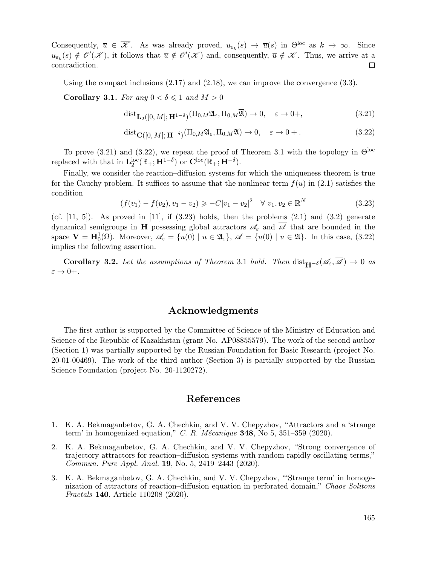Consequently,  $\overline{u} \in \overline{\mathscr{K}}$ . As was already proved,  $u_{\varepsilon_k}(s) \to \overline{u}(s)$  in  $\Theta^{\text{loc}}$  as  $k \to \infty$ . Since  $u_{\varepsilon_k}(s) \notin \mathscr{O}'(\mathscr{K})$ , it follows that  $\overline{u} \notin \mathscr{O}'(\mathscr{K})$  and, consequently,  $\overline{u} \notin \mathscr{K}$ . Thus, we arrive at a contradiction. □

Using the compact inclusions  $(2.17)$  and  $(2.18)$ , we can improve the convergence  $(3.3)$ .

**Corollary 3.1.** *For any*  $0 < \delta \leq 1$  *and*  $M > 0$ 

$$
dist_{\mathbf{L}_2([0,M];\mathbf{H}^{1-\delta})}(\Pi_{0,M}\mathfrak{A}_{\varepsilon},\Pi_{0,M}\overline{\mathfrak{A}})\to 0,\quad \varepsilon\to 0+, \tag{3.21}
$$

$$
dist_{\mathbf{C}([0,M];\mathbf{H}^{-\delta})}(\Pi_{0,M}\mathfrak{A}_{\varepsilon},\Pi_{0,M}\overline{\mathfrak{A}})\to 0,\quad \varepsilon\to 0+.
$$
 (3.22)

To prove (3.21) and (3.22), we repeat the proof of Theorem 3.1 with the topology in  $\Theta^{\text{loc}}$ replaced with that in  $\mathbf{L}_2^{\text{loc}}(\mathbb{R}_+;\mathbf{H}^{1-\delta})$  or  $\mathbf{C}^{\text{loc}}(\mathbb{R}_+;\mathbf{H}^{-\delta}).$ 

Finally, we consider the reaction–diffusion systems for which the uniqueness theorem is true for the Cauchy problem. It suffices to assume that the nonlinear term  $f(u)$  in (2.1) satisfies the condition

$$
(f(v_1) - f(v_2), v_1 - v_2) \geqslant -C|v_1 - v_2|^2 \quad \forall \ v_1, v_2 \in \mathbb{R}^N \tag{3.23}
$$

(cf.  $[11, 5]$ ). As proved in  $[11]$ , if  $(3.23)$  holds, then the problems  $(2.1)$  and  $(3.2)$  generate dynamical semigroups in **H** possessing global attractors  $\mathscr{A}_{\varepsilon}$  and  $\mathscr{A}$  that are bounded in the space  $\mathbf{V} = \mathbf{H}_0^1(\Omega)$ . Moreover,  $\mathscr{A}_{\varepsilon} = \{u(0) \mid u \in \mathfrak{A}_{\varepsilon}\}, \overline{\mathscr{A}} = \{u(0) \mid u \in \overline{\mathfrak{A}}\}.$  In this case, (3.22) implies the following assertion.

**Corollary 3.2.** Let the assumptions of Theorem 3.1 hold. Then  $dist_{\mathbf{H}^{-\delta}}(\mathscr{A}_{\varepsilon}, \overline{\mathscr{A}}) \to 0$  as  $\varepsilon \to 0+$ .

### **Acknowledgments**

The first author is supported by the Committee of Science of the Ministry of Education and Science of the Republic of Kazakhstan (grant No. AP08855579). The work of the second author (Section 1) was partially supported by the Russian Foundation for Basic Research (project No. 20-01-00469). The work of the third author (Section 3) is partially supported by the Russian Science Foundation (project No. 20-1120272).

## **References**

- 1. K. A. Bekmaganbetov, G. A. Chechkin, and V. V. Chepyzhov, "Attractors and a 'strange term' in homogenized equation," *C. R. M´ecanique* **348**, No 5, 351–359 (2020).
- 2. K. A. Bekmaganbetov, G. A. Chechkin, and V. V. Chepyzhov, "Strong convergence of trajectory attractors for reaction–diffusion systems with random rapidly oscillating terms," *Commun. Pure Appl. Anal.* **19**, No. 5, 2419–2443 (2020).
- 3. K. A. Bekmaganbetov, G. A. Chechkin, and V. V. Chepyzhov, "'Strange term' in homogenization of attractors of reaction–diffusion equation in perforated domain," *Chaos Solitons Fractals* **140**, Article 110208 (2020).